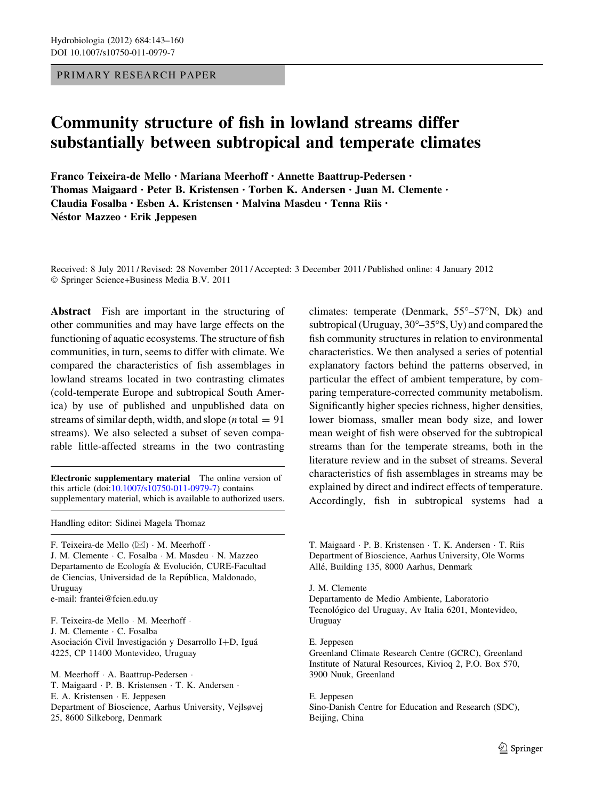PRIMARY RESEARCH PAPER

# Community structure of fish in lowland streams differ substantially between subtropical and temperate climates

Franco Teixeira-de Mello • Mariana Meerhoff • Annette Baattrup-Pedersen • Thomas Maigaard • Peter B. Kristensen • Torben K. Andersen • Juan M. Clemente • Claudia Fosalba • Esben A. Kristensen • Malvina Masdeu • Tenna Riis • Néstor Mazzeo · Erik Jeppesen

Received: 8 July 2011 / Revised: 28 November 2011 / Accepted: 3 December 2011 / Published online: 4 January 2012 © Springer Science+Business Media B.V. 2011

Abstract Fish are important in the structuring of other communities and may have large effects on the functioning of aquatic ecosystems. The structure of fish communities, in turn, seems to differ with climate. We compared the characteristics of fish assemblages in lowland streams located in two contrasting climates (cold-temperate Europe and subtropical South America) by use of published and unpublished data on streams of similar depth, width, and slope (*n* total  $= 91$ ) streams). We also selected a subset of seven comparable little-affected streams in the two contrasting

Electronic supplementary material The online version of this article (doi[:10.1007/s10750-011-0979-7\)](http://dx.doi.org/10.1007/s10750-011-0979-7) contains supplementary material, which is available to authorized users.

Handling editor: Sidinei Magela Thomaz

F. Teixeira-de Mello  $(\boxtimes) \cdot M$ . Meerhoff  $\cdot$ J. M. Clemente - C. Fosalba - M. Masdeu - N. Mazzeo Departamento de Ecología & Evolución, CURE-Facultad de Ciencias, Universidad de la República, Maldonado, Uruguay

e-mail: frantei@fcien.edu.uy

F. Teixeira-de Mello - M. Meerhoff -J. M. Clemente - C. Fosalba Asociación Civil Investigación y Desarrollo I+D, Iguá 4225, CP 11400 Montevideo, Uruguay

M. Meerhoff · A. Baattrup-Pedersen · T. Maigaard - P. B. Kristensen - T. K. Andersen - E. A. Kristensen - E. Jeppesen Department of Bioscience, Aarhus University, Vejlsøvej 25, 8600 Silkeborg, Denmark

climates: temperate (Denmark,  $55^{\circ}$ – $57^{\circ}N$ , Dk) and subtropical (Uruguay,  $30^{\circ} - 35^{\circ}$ S, Uy) and compared the fish community structures in relation to environmental characteristics. We then analysed a series of potential explanatory factors behind the patterns observed, in particular the effect of ambient temperature, by comparing temperature-corrected community metabolism. Significantly higher species richness, higher densities, lower biomass, smaller mean body size, and lower mean weight of fish were observed for the subtropical streams than for the temperate streams, both in the literature review and in the subset of streams. Several characteristics of fish assemblages in streams may be explained by direct and indirect effects of temperature. Accordingly, fish in subtropical systems had a

T. Maigaard - P. B. Kristensen - T. K. Andersen - T. Riis Department of Bioscience, Aarhus University, Ole Worms Alle´, Building 135, 8000 Aarhus, Denmark

J. M. Clemente

Departamento de Medio Ambiente, Laboratorio Tecnológico del Uruguay, Av Italia 6201, Montevideo, Uruguay

E. Jeppesen Greenland Climate Research Centre (GCRC), Greenland Institute of Natural Resources, Kivioq 2, P.O. Box 570, 3900 Nuuk, Greenland

E. Jeppesen Sino-Danish Centre for Education and Research (SDC), Beijing, China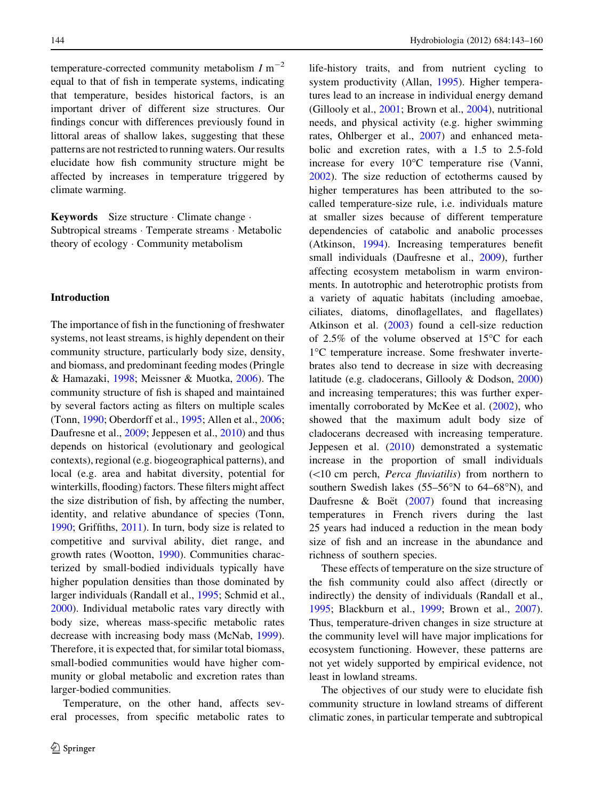temperature-corrected community metabolism  $I m^{-2}$ equal to that of fish in temperate systems, indicating that temperature, besides historical factors, is an important driver of different size structures. Our findings concur with differences previously found in littoral areas of shallow lakes, suggesting that these patterns are not restricted to running waters. Our results elucidate how fish community structure might be affected by increases in temperature triggered by climate warming.

Keywords Size structure - Climate change - Subtropical streams - Temperate streams - Metabolic theory of ecology - Community metabolism

## Introduction

The importance of fish in the functioning of freshwater systems, not least streams, is highly dependent on their community structure, particularly body size, density, and biomass, and predominant feeding modes (Pringle & Hamazaki, [1998](#page-17-0); Meissner & Muotka, [2006\)](#page-17-0). The community structure of fish is shaped and maintained by several factors acting as filters on multiple scales (Tonn, [1990;](#page-17-0) Oberdorff et al., [1995](#page-17-0); Allen et al., [2006](#page-15-0); Daufresne et al., [2009;](#page-16-0) Jeppesen et al., [2010\)](#page-16-0) and thus depends on historical (evolutionary and geological contexts), regional (e.g. biogeographical patterns), and local (e.g. area and habitat diversity, potential for winterkills, flooding) factors. These filters might affect the size distribution of fish, by affecting the number, identity, and relative abundance of species (Tonn, [1990;](#page-17-0) Griffiths, [2011\)](#page-16-0). In turn, body size is related to competitive and survival ability, diet range, and growth rates (Wootton, [1990\)](#page-17-0). Communities characterized by small-bodied individuals typically have higher population densities than those dominated by larger individuals (Randall et al., [1995;](#page-17-0) Schmid et al., [2000\)](#page-17-0). Individual metabolic rates vary directly with body size, whereas mass-specific metabolic rates decrease with increasing body mass (McNab, [1999](#page-16-0)). Therefore, it is expected that, for similar total biomass, small-bodied communities would have higher community or global metabolic and excretion rates than larger-bodied communities.

Temperature, on the other hand, affects several processes, from specific metabolic rates to life-history traits, and from nutrient cycling to system productivity (Allan, [1995](#page-15-0)). Higher temperatures lead to an increase in individual energy demand (Gillooly et al., [2001](#page-16-0); Brown et al., [2004\)](#page-15-0), nutritional needs, and physical activity (e.g. higher swimming rates, Ohlberger et al., [2007\)](#page-17-0) and enhanced metabolic and excretion rates, with a 1.5 to 2.5-fold increase for every  $10^{\circ}$ C temperature rise (Vanni, [2002\)](#page-17-0). The size reduction of ectotherms caused by higher temperatures has been attributed to the socalled temperature-size rule, i.e. individuals mature at smaller sizes because of different temperature dependencies of catabolic and anabolic processes (Atkinson, [1994\)](#page-15-0). Increasing temperatures benefit small individuals (Daufresne et al., [2009\)](#page-16-0), further affecting ecosystem metabolism in warm environments. In autotrophic and heterotrophic protists from a variety of aquatic habitats (including amoebae, ciliates, diatoms, dinoflagellates, and flagellates) Atkinson et al. [\(2003](#page-15-0)) found a cell-size reduction of 2.5% of the volume observed at  $15^{\circ}$ C for each 1C temperature increase. Some freshwater invertebrates also tend to decrease in size with decreasing latitude (e.g. cladocerans, Gillooly & Dodson, [2000\)](#page-16-0) and increasing temperatures; this was further exper-imentally corroborated by McKee et al. ([2002\)](#page-16-0), who showed that the maximum adult body size of cladocerans decreased with increasing temperature. Jeppesen et al. ([2010\)](#page-16-0) demonstrated a systematic increase in the proportion of small individuals  $(<10$  cm perch, *Perca fluviatilis*) from northern to southern Swedish lakes  $(55-56°N)$  to  $64-68°N$ , and Daufresne & Boët  $(2007)$  $(2007)$  found that increasing temperatures in French rivers during the last 25 years had induced a reduction in the mean body size of fish and an increase in the abundance and richness of southern species.

These effects of temperature on the size structure of the fish community could also affect (directly or indirectly) the density of individuals (Randall et al., [1995;](#page-17-0) Blackburn et al., [1999;](#page-15-0) Brown et al., [2007](#page-15-0)). Thus, temperature-driven changes in size structure at the community level will have major implications for ecosystem functioning. However, these patterns are not yet widely supported by empirical evidence, not least in lowland streams.

The objectives of our study were to elucidate fish community structure in lowland streams of different climatic zones, in particular temperate and subtropical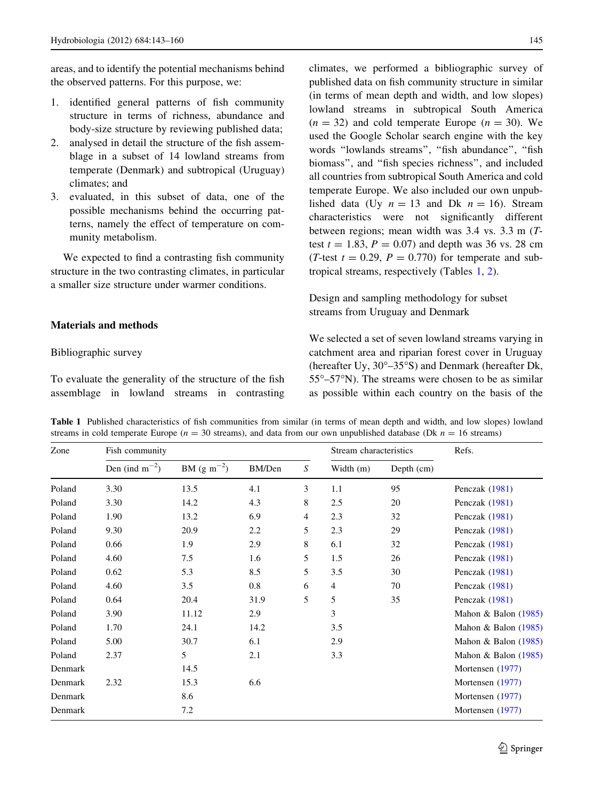<span id="page-2-0"></span>areas, and to identify the potential mechanisms behind the observed patterns. For this purpose, we:

- 1. identified general patterns of fish community structure in terms of richness, abundance and body-size structure by reviewing published data;
- 2. analysed in detail the structure of the fish assemblage in a subset of 14 lowland streams from temperate (Denmark) and subtropical (Uruguay) climates; and
- 3. evaluated, in this subset of data, one of the possible mechanisms behind the occurring patterns, namely the effect of temperature on community metabolism.

We expected to find a contrasting fish community structure in the two contrasting climates, in particular a smaller size structure under warmer conditions.

# Materials and methods

## Bibliographic survey

To evaluate the generality of the structure of the fish assemblage in lowland streams in contrasting climates, we performed a bibliographic survey of published data on fish community structure in similar (in terms of mean depth and width, and low slopes) lowland streams in subtropical South America  $(n = 32)$  and cold temperate Europe  $(n = 30)$ . We used the Google Scholar search engine with the key words ''lowlands streams'', ''fish abundance'', ''fish biomass'', and ''fish species richness'', and included all countries from subtropical South America and cold temperate Europe. We also included our own unpublished data (Uy  $n = 13$  and Dk  $n = 16$ ). Stream characteristics were not significantly different between regions; mean width was 3.4 vs. 3.3 m (Ttest  $t = 1.83$ ,  $P = 0.07$ ) and depth was 36 vs. 28 cm (T-test  $t = 0.29$ ,  $P = 0.770$ ) for temperate and subtropical streams, respectively (Tables 1, [2](#page-4-0)).

Design and sampling methodology for subset streams from Uruguay and Denmark

We selected a set of seven lowland streams varying in catchment area and riparian forest cover in Uruguay (hereafter Uy,  $30^{\circ} - 35^{\circ}$ S) and Denmark (hereafter Dk,  $55^{\circ}$ – $57^{\circ}$ N). The streams were chosen to be as similar as possible within each country on the basis of the

Table 1 Published characteristics of fish communities from similar (in terms of mean depth and width, and low slopes) lowland streams in cold temperate Europe ( $n = 30$  streams), and data from our own unpublished database (Dk  $n = 16$  streams)

| Zone    | Fish community      |                 |        | Stream characteristics |           | Refs.      |                        |
|---------|---------------------|-----------------|--------|------------------------|-----------|------------|------------------------|
|         | Den (ind $m^{-2}$ ) | $BM (g m^{-2})$ | BM/Den | S                      | Width (m) | Depth (cm) |                        |
| Poland  | 3.30                | 13.5            | 4.1    | 3                      | 1.1       | 95         | Penczak (1981)         |
| Poland  | 3.30                | 14.2            | 4.3    | 8                      | 2.5       | 20         | Penczak (1981)         |
| Poland  | 1.90                | 13.2            | 6.9    | 4                      | 2.3       | 32         | Penczak (1981)         |
| Poland  | 9.30                | 20.9            | 2.2    | 5                      | 2.3       | 29         | Penczak (1981)         |
| Poland  | 0.66                | 1.9             | 2.9    | 8                      | 6.1       | 32         | Penczak (1981)         |
| Poland  | 4.60                | 7.5             | 1.6    | 5                      | 1.5       | 26         | Penczak (1981)         |
| Poland  | 0.62                | 5.3             | 8.5    | 5                      | 3.5       | 30         | Penczak (1981)         |
| Poland  | 4.60                | 3.5             | 0.8    | 6                      | 4         | 70         | Penczak (1981)         |
| Poland  | 0.64                | 20.4            | 31.9   | 5                      | 5         | 35         | Penczak (1981)         |
| Poland  | 3.90                | 11.12           | 2.9    |                        | 3         |            | Mahon & Balon (1985)   |
| Poland  | 1.70                | 24.1            | 14.2   |                        | 3.5       |            | Mahon & Balon $(1985)$ |
| Poland  | 5.00                | 30.7            | 6.1    |                        | 2.9       |            | Mahon & Balon $(1985)$ |
| Poland  | 2.37                | 5               | 2.1    |                        | 3.3       |            | Mahon & Balon $(1985)$ |
| Denmark |                     | 14.5            |        |                        |           |            | Mortensen (1977)       |
| Denmark | 2.32                | 15.3            | 6.6    |                        |           |            | Mortensen (1977)       |
| Denmark |                     | 8.6             |        |                        |           |            | Mortensen (1977)       |
| Denmark |                     | 7.2             |        |                        |           |            | Mortensen (1977)       |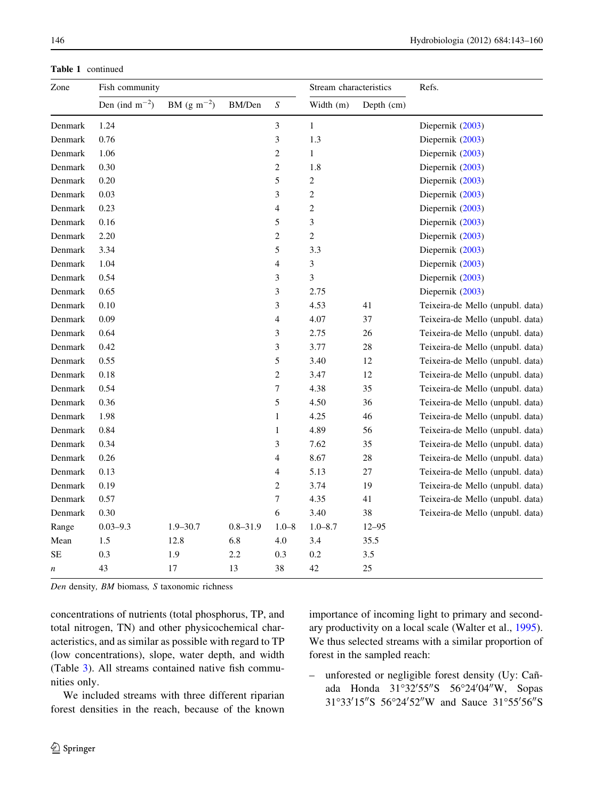| Zone             | Fish community      |                 |              |                          | Stream characteristics |            | Refs.                            |  |
|------------------|---------------------|-----------------|--------------|--------------------------|------------------------|------------|----------------------------------|--|
|                  | Den (ind $m^{-2}$ ) | BM $(g m^{-2})$ | BM/Den       | $\boldsymbol{S}$         | Width (m)              | Depth (cm) |                                  |  |
| Denmark          | 1.24                |                 |              | $\mathfrak{Z}$           | $\mathbf{1}$           |            | Diepernik (2003)                 |  |
| Denmark          | 0.76                |                 |              | 3                        | 1.3                    |            | Diepernik (2003)                 |  |
| Denmark          | 1.06                |                 |              | $\sqrt{2}$               | $\mathbf{1}$           |            | Diepernik (2003)                 |  |
| Denmark          | 0.30                |                 |              | $\mathbf{2}$             | 1.8                    |            | Diepernik (2003)                 |  |
| Denmark          | 0.20                |                 |              | 5                        | $\overline{c}$         |            | Diepernik (2003)                 |  |
| Denmark          | 0.03                |                 |              | 3                        | $\sqrt{2}$             |            | Diepernik (2003)                 |  |
| Denmark          | 0.23                |                 |              | $\overline{4}$           | $\sqrt{2}$             |            | Diepernik (2003)                 |  |
| Denmark          | 0.16                |                 |              | 5                        | 3                      |            | Diepernik (2003)                 |  |
| Denmark          | 2.20                |                 |              | $\sqrt{2}$               | $\overline{c}$         |            | Diepernik (2003)                 |  |
| Denmark          | 3.34                |                 |              | $\sqrt{5}$               | 3.3                    |            | Diepernik (2003)                 |  |
| Denmark          | 1.04                |                 |              | $\overline{4}$           | 3                      |            | Diepernik (2003)                 |  |
| Denmark          | 0.54                |                 |              | 3                        | 3                      |            | Diepernik (2003)                 |  |
| Denmark          | 0.65                |                 |              | 3                        | 2.75                   |            | Diepernik (2003)                 |  |
| Denmark          | 0.10                |                 |              | 3                        | 4.53                   | 41         | Teixeira-de Mello (unpubl. data) |  |
| Denmark          | 0.09                |                 |              | $\overline{\mathcal{A}}$ | 4.07                   | 37         | Teixeira-de Mello (unpubl. data) |  |
| Denmark          | 0.64                |                 |              | 3                        | 2.75                   | 26         | Teixeira-de Mello (unpubl. data) |  |
| Denmark          | 0.42                |                 |              | 3                        | 3.77                   | 28         | Teixeira-de Mello (unpubl. data) |  |
| Denmark          | 0.55                |                 |              | $\mathfrak s$            | 3.40                   | 12         | Teixeira-de Mello (unpubl. data) |  |
| Denmark          | 0.18                |                 |              | $\overline{c}$           | 3.47                   | 12         | Teixeira-de Mello (unpubl. data) |  |
| Denmark          | 0.54                |                 |              | 7                        | 4.38                   | 35         | Teixeira-de Mello (unpubl. data) |  |
| Denmark          | 0.36                |                 |              | 5                        | 4.50                   | 36         | Teixeira-de Mello (unpubl. data) |  |
| Denmark          | 1.98                |                 |              | $\mathbf{1}$             | 4.25                   | 46         | Teixeira-de Mello (unpubl. data) |  |
| Denmark          | 0.84                |                 |              | $\mathbf{1}$             | 4.89                   | 56         | Teixeira-de Mello (unpubl. data) |  |
| Denmark          | 0.34                |                 |              | 3                        | 7.62                   | 35         | Teixeira-de Mello (unpubl. data) |  |
| Denmark          | 0.26                |                 |              | $\overline{4}$           | 8.67                   | 28         | Teixeira-de Mello (unpubl. data) |  |
| Denmark          | 0.13                |                 |              | 4                        | 5.13                   | 27         | Teixeira-de Mello (unpubl. data) |  |
| Denmark          | 0.19                |                 |              | $\sqrt{2}$               | 3.74                   | 19         | Teixeira-de Mello (unpubl. data) |  |
| Denmark          | 0.57                |                 |              | $\boldsymbol{7}$         | 4.35                   | 41         | Teixeira-de Mello (unpubl. data) |  |
| Denmark          | 0.30                |                 |              | 6                        | 3.40                   | 38         | Teixeira-de Mello (unpubl. data) |  |
| Range            | $0.03 - 9.3$        | $1.9 - 30.7$    | $0.8 - 31.9$ | $1.0 - 8$                | $1.0 - 8.7$            | $12 - 95$  |                                  |  |
| Mean             | 1.5                 | 12.8            | 6.8          | 4.0                      | 3.4                    | 35.5       |                                  |  |
| SE               | 0.3                 | 1.9             | 2.2          | 0.3                      | 0.2                    | 3.5        |                                  |  |
| $\boldsymbol{n}$ | 43                  | 17              | 13           | 38                       | 42                     | 25         |                                  |  |

Table 1 continued

Den density, BM biomass, S taxonomic richness

concentrations of nutrients (total phosphorus, TP, and total nitrogen, TN) and other physicochemical characteristics, and as similar as possible with regard to TP (low concentrations), slope, water depth, and width (Table [3](#page-6-0)). All streams contained native fish communities only.

We included streams with three different riparian forest densities in the reach, because of the known importance of incoming light to primary and secondary productivity on a local scale (Walter et al., [1995](#page-17-0)). We thus selected streams with a similar proportion of forest in the sampled reach:

– unforested or negligible forest density (Uy: Can˜ ada Honda 31°32'55"S 56°24'04"W, Sopas 31°33'15"S 56°24'52"W and Sauce 31°55'56"S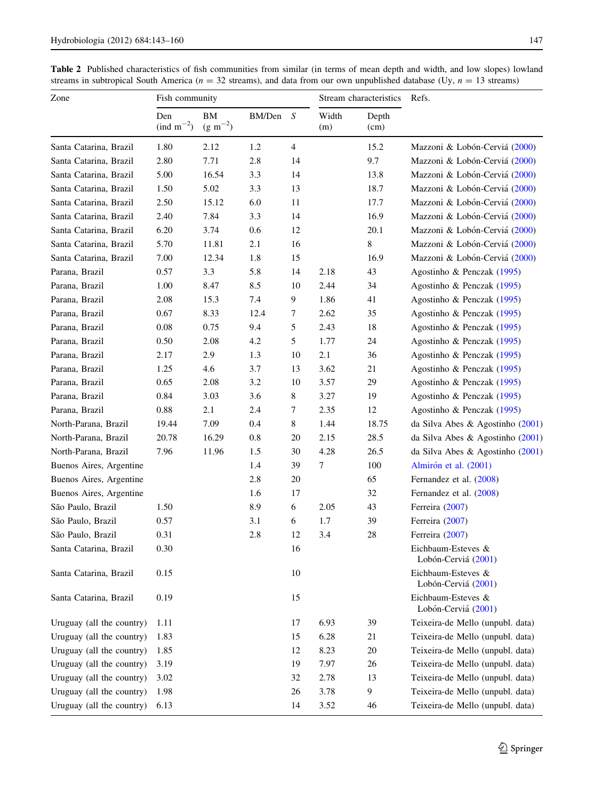<span id="page-4-0"></span>Table 2 Published characteristics of fish communities from similar (in terms of mean depth and width, and low slopes) lowland streams in subtropical South America ( $n = 32$  streams), and data from our own unpublished database (Uy,  $n = 13$  streams)

| Zone                      | Fish community                       |                    |        |                | Stream characteristics |                  | Refs.                                        |
|---------------------------|--------------------------------------|--------------------|--------|----------------|------------------------|------------------|----------------------------------------------|
|                           | Den<br>$\text{(ind } m^{-2}\text{)}$ | BM<br>$(g m^{-2})$ | BM/Den | S              | Width<br>(m)           | Depth<br>(cm)    |                                              |
| Santa Catarina, Brazil    | 1.80                                 | 2.12               | 1.2    | $\overline{4}$ |                        | 15.2             | Mazzoni & Lobón-Cerviá (2000)                |
| Santa Catarina, Brazil    | 2.80                                 | 7.71               | 2.8    | 14             |                        | 9.7              | Mazzoni & Lobón-Cerviá (2000)                |
| Santa Catarina, Brazil    | 5.00                                 | 16.54              | 3.3    | 14             |                        | 13.8             | Mazzoni & Lobón-Cerviá (2000)                |
| Santa Catarina, Brazil    | 1.50                                 | 5.02               | 3.3    | 13             |                        | 18.7             | Mazzoni & Lobón-Cerviá (2000)                |
| Santa Catarina, Brazil    | 2.50                                 | 15.12              | 6.0    | 11             |                        | 17.7             | Mazzoni & Lobón-Cerviá (2000)                |
| Santa Catarina, Brazil    | 2.40                                 | 7.84               | 3.3    | 14             |                        | 16.9             | Mazzoni & Lobón-Cerviá (2000)                |
| Santa Catarina, Brazil    | 6.20                                 | 3.74               | 0.6    | 12             |                        | 20.1             | Mazzoni & Lobón-Cerviá (2000)                |
| Santa Catarina, Brazil    | 5.70                                 | 11.81              | 2.1    | 16             |                        | 8                | Mazzoni & Lobón-Cerviá (2000)                |
| Santa Catarina, Brazil    | 7.00                                 | 12.34              | 1.8    | 15             |                        | 16.9             | Mazzoni & Lobón-Cerviá (2000)                |
| Parana, Brazil            | 0.57                                 | 3.3                | 5.8    | 14             | 2.18                   | 43               | Agostinho & Penczak (1995)                   |
| Parana, Brazil            | 1.00                                 | 8.47               | 8.5    | 10             | 2.44                   | 34               | Agostinho & Penczak (1995)                   |
| Parana, Brazil            | 2.08                                 | 15.3               | 7.4    | 9              | 1.86                   | 41               | Agostinho & Penczak (1995)                   |
| Parana, Brazil            | 0.67                                 | 8.33               | 12.4   | 7              | 2.62                   | 35               | Agostinho & Penczak (1995)                   |
| Parana, Brazil            | 0.08                                 | 0.75               | 9.4    | 5              | 2.43                   | 18               | Agostinho & Penczak (1995)                   |
| Parana, Brazil            | 0.50                                 | 2.08               | 4.2    | 5              | 1.77                   | 24               | Agostinho & Penczak (1995)                   |
| Parana, Brazil            | 2.17                                 | 2.9                | 1.3    | 10             | 2.1                    | 36               | Agostinho & Penczak (1995)                   |
| Parana, Brazil            | 1.25                                 | 4.6                | 3.7    | 13             | 3.62                   | 21               | Agostinho & Penczak (1995)                   |
| Parana, Brazil            | 0.65                                 | 2.08               | 3.2    | 10             | 3.57                   | 29               | Agostinho & Penczak (1995)                   |
| Parana, Brazil            | 0.84                                 | 3.03               | 3.6    | 8              | 3.27                   | 19               | Agostinho & Penczak (1995)                   |
| Parana, Brazil            | 0.88                                 | 2.1                | 2.4    | 7              | 2.35                   | 12               | Agostinho & Penczak (1995)                   |
| North-Parana, Brazil      | 19.44                                | 7.09               | 0.4    | 8              | 1.44                   | 18.75            | da Silva Abes & Agostinho (2001)             |
| North-Parana, Brazil      | 20.78                                | 16.29              | 0.8    | 20             | 2.15                   | 28.5             | da Silva Abes & Agostinho (2001)             |
| North-Parana, Brazil      | 7.96                                 | 11.96              | 1.5    | 30             | 4.28                   | 26.5             | da Silva Abes & Agostinho (2001)             |
| Buenos Aires, Argentine   |                                      |                    | 1.4    | 39             | 7                      | 100              | Almirón et al. (2001)                        |
| Buenos Aires, Argentine   |                                      |                    | 2.8    | 20             |                        | 65               | Fernandez et al. (2008)                      |
| Buenos Aires, Argentine   |                                      |                    | 1.6    | 17             |                        | 32               | Fernandez et al. (2008)                      |
| São Paulo, Brazil         | 1.50                                 |                    | 8.9    | 6              | 2.05                   | 43               | Ferreira (2007)                              |
| São Paulo, Brazil         | 0.57                                 |                    | 3.1    | 6              | 1.7                    | 39               | Ferreira (2007)                              |
| São Paulo, Brazil         | 0.31                                 |                    | 2.8    | 12             | 3.4                    | 28               | Ferreira (2007)                              |
| Santa Catarina, Brazil    | 0.30                                 |                    |        | 16             |                        |                  | Eichbaum-Esteves &<br>Lobón-Cerviá (2001)    |
| Santa Catarina, Brazil    | 0.15                                 |                    |        | 10             |                        |                  | Eichbaum-Esteves $\&$<br>Lobón-Cerviá (2001) |
| Santa Catarina, Brazil    | 0.19                                 |                    |        | 15             |                        |                  | Eichbaum-Esteves &<br>Lobón-Cerviá (2001)    |
| Uruguay (all the country) | 1.11                                 |                    |        | 17             | 6.93                   | 39               | Teixeira-de Mello (unpubl. data)             |
| Uruguay (all the country) | 1.83                                 |                    |        | 15             | 6.28                   | 21               | Teixeira-de Mello (unpubl. data)             |
| Uruguay (all the country) | 1.85                                 |                    |        | 12             | 8.23                   | 20               | Teixeira-de Mello (unpubl. data)             |
| Uruguay (all the country) | 3.19                                 |                    |        | 19             | 7.97                   | 26               | Teixeira-de Mello (unpubl. data)             |
| Uruguay (all the country) | 3.02                                 |                    |        | 32             | 2.78                   | 13               | Teixeira-de Mello (unpubl. data)             |
| Uruguay (all the country) | 1.98                                 |                    |        | 26             | 3.78                   | $\boldsymbol{9}$ | Teixeira-de Mello (unpubl. data)             |
| Uruguay (all the country) | 6.13                                 |                    |        | 14             | 3.52                   | 46               | Teixeira-de Mello (unpubl. data)             |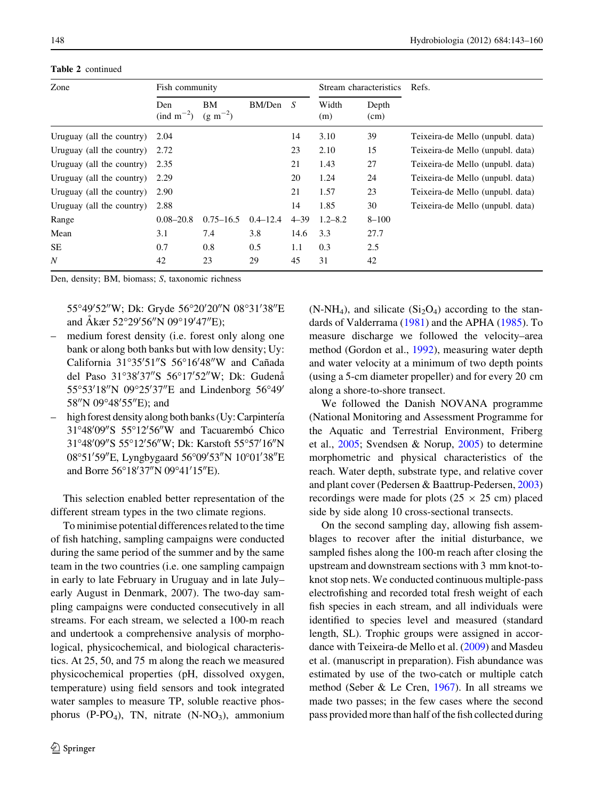Table 2 continued

| Zone                      | Fish community                       |                           |              |          | Stream characteristics |               | Refs.                            |  |
|---------------------------|--------------------------------------|---------------------------|--------------|----------|------------------------|---------------|----------------------------------|--|
|                           | Den<br>$\text{(ind } m^{-2}\text{)}$ | <b>BM</b><br>$(g m^{-2})$ | BM/Den       | - S      | Width<br>(m)           | Depth<br>(cm) |                                  |  |
| Uruguay (all the country) | 2.04                                 |                           |              | 14       | 3.10                   | 39            | Teixeira-de Mello (unpubl. data) |  |
| Uruguay (all the country) | 2.72                                 |                           |              | 23       | 2.10                   | 15            | Teixeira-de Mello (unpubl. data) |  |
| Uruguay (all the country) | 2.35                                 |                           |              | 21       | 1.43                   | 27            | Teixeira-de Mello (unpubl. data) |  |
| Uruguay (all the country) | 2.29                                 |                           |              | 20       | 1.24                   | 24            | Teixeira-de Mello (unpubl. data) |  |
| Uruguay (all the country) | 2.90                                 |                           |              | 21       | 1.57                   | 23            | Teixeira-de Mello (unpubl. data) |  |
| Uruguay (all the country) | 2.88                                 |                           |              | 14       | 1.85                   | 30            | Teixeira-de Mello (unpubl. data) |  |
| Range                     | $0.08 - 20.8$                        | $0.75 - 16.5$             | $0.4 - 12.4$ | $4 - 39$ | $1.2 - 8.2$            | $8 - 100$     |                                  |  |
| Mean                      | 3.1                                  | 7.4                       | 3.8          | 14.6     | 3.3                    | 27.7          |                                  |  |
| SE.                       | 0.7                                  | 0.8                       | 0.5          | 1.1      | 0.3                    | 2.5           |                                  |  |
| N                         | 42                                   | 23                        | 29           | 45       | 31                     | 42            |                                  |  |

Den, density; BM, biomass; S, taxonomic richness

55°49′52″W; Dk: Gryde 56°20′20″N 08°31′38″E and Åkær 52°29′56″N 09°19′47″E);

- medium forest density (i.e. forest only along one bank or along both banks but with low density; Uy: California 31°35'51"S 56°16'48"W and Cañada del Paso 31°38'37"S 56°17'52"W; Dk: Gudenå 55°53'18"N 09°25'37"E and Lindenborg 56°49' 58"N 09°48'55"E); and
- high forest density along both banks (Uy: Carpintería 31°48'09"S 55°12'56"W and Tacuarembó Chico 31°48'09"S 55°12'56"W; Dk: Karstoft 55°57'16"N 08°51'59"E, Lyngbygaard 56°09'53"N 10°01'38"E and Borre 56°18′37″N 09°41′15″E).

This selection enabled better representation of the different stream types in the two climate regions.

To minimise potential differences related to the time of fish hatching, sampling campaigns were conducted during the same period of the summer and by the same team in the two countries (i.e. one sampling campaign in early to late February in Uruguay and in late July– early August in Denmark, 2007). The two-day sampling campaigns were conducted consecutively in all streams. For each stream, we selected a 100-m reach and undertook a comprehensive analysis of morphological, physicochemical, and biological characteristics. At 25, 50, and 75 m along the reach we measured physicochemical properties (pH, dissolved oxygen, temperature) using field sensors and took integrated water samples to measure TP, soluble reactive phosphorus (P-PO<sub>4</sub>), TN, nitrate (N-NO<sub>3</sub>), ammonium  $(N-NH_4)$ , and silicate  $(Si<sub>2</sub>O<sub>4</sub>)$  according to the standards of Valderrama [\(1981](#page-17-0)) and the APHA [\(1985](#page-15-0)). To measure discharge we followed the velocity–area method (Gordon et al., [1992\)](#page-16-0), measuring water depth and water velocity at a minimum of two depth points (using a 5-cm diameter propeller) and for every 20 cm along a shore-to-shore transect.

We followed the Danish NOVANA programme (National Monitoring and Assessment Programme for the Aquatic and Terrestrial Environment, Friberg et al., [2005](#page-16-0); Svendsen & Norup, [2005](#page-17-0)) to determine morphometric and physical characteristics of the reach. Water depth, substrate type, and relative cover and plant cover (Pedersen & Baattrup-Pedersen, [2003\)](#page-17-0) recordings were made for plots ( $25 \times 25$  cm) placed side by side along 10 cross-sectional transects.

On the second sampling day, allowing fish assemblages to recover after the initial disturbance, we sampled fishes along the 100-m reach after closing the upstream and downstream sections with 3 mm knot-toknot stop nets. We conducted continuous multiple-pass electrofishing and recorded total fresh weight of each fish species in each stream, and all individuals were identified to species level and measured (standard length, SL). Trophic groups were assigned in accordance with Teixeira-de Mello et al. [\(2009](#page-17-0)) and Masdeu et al. (manuscript in preparation). Fish abundance was estimated by use of the two-catch or multiple catch method (Seber & Le Cren, [1967](#page-17-0)). In all streams we made two passes; in the few cases where the second pass provided more than half of the fish collected during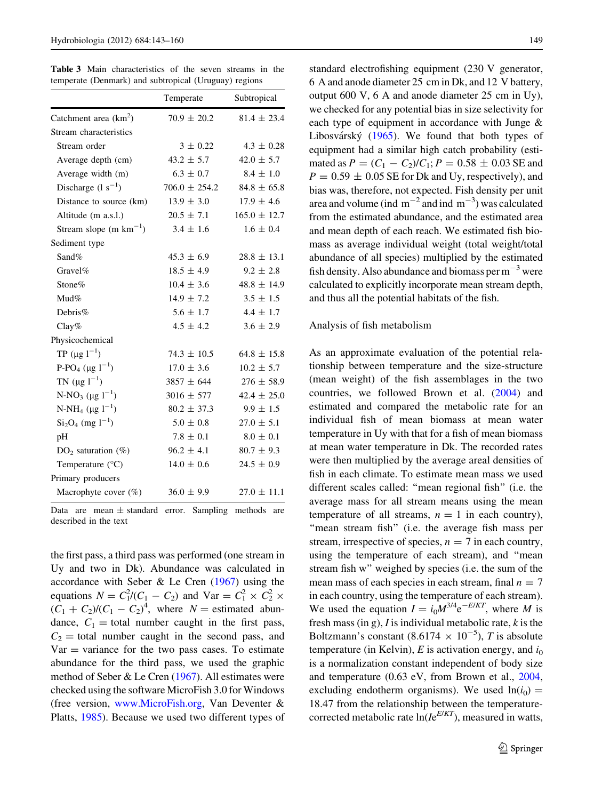<span id="page-6-0"></span>Table 3 Main characteristics of the seven streams in the temperate (Denmark) and subtropical (Uruguay) regions

|                                               | Temperate         | Subtropical      |
|-----------------------------------------------|-------------------|------------------|
| Catchment area $(km^2)$                       | $70.9 \pm 20.2$   | $81.4 \pm 23.4$  |
| Stream characteristics                        |                   |                  |
| Stream order                                  | $3 \pm 0.22$      | $4.3 \pm 0.28$   |
| Average depth (cm)                            | $43.2 \pm 5.7$    | $42.0 \pm 5.7$   |
| Average width (m)                             | $6.3 \pm 0.7$     | $8.4 \pm 1.0$    |
| Discharge $(1 s^{-1})$                        | $706.0 \pm 254.2$ | $84.8 \pm 65.8$  |
| Distance to source (km)                       | $13.9 \pm 3.0$    | $17.9 \pm 4.6$   |
| Altitude (m a.s.l.)                           | $20.5 \pm 7.1$    | $165.0 \pm 12.7$ |
| Stream slope (m $km^{-1}$ )                   | $3.4 \pm 1.6$     | $1.6 \pm 0.4$    |
| Sediment type                                 |                   |                  |
| Sand%                                         | $45.3 \pm 6.9$    | $28.8 \pm 13.1$  |
| Gravel%                                       | $18.5 \pm 4.9$    | $9.2 \pm 2.8$    |
| Stone%                                        | $10.4 \pm 3.6$    | $48.8 \pm 14.9$  |
| Mud%                                          | $14.9 \pm 7.2$    | $3.5 \pm 1.5$    |
| Debris $%$                                    | $5.6 \pm 1.7$     | $4.4 \pm 1.7$    |
| $Clay\%$                                      | $4.5 \pm 4.2$     | $3.6 \pm 2.9$    |
| Physicochemical                               |                   |                  |
| TP $(\mu g 1^{-1})$                           | $74.3 \pm 10.5$   | $64.8 \pm 15.8$  |
| P-PO <sub>4</sub> ( $\mu$ g 1 <sup>-1</sup> ) | $17.0 \pm 3.6$    | $10.2 \pm 5.7$   |
| TN $(\mu g \ 1^{-1})$                         | $3857 \pm 644$    | $276 \pm 58.9$   |
| N-NO <sub>3</sub> ( $\mu$ g 1 <sup>-1</sup> ) | $3016 \pm 577$    | $42.4 \pm 25.0$  |
| N-NH <sub>4</sub> ( $\mu$ g 1 <sup>-1</sup> ) | $80.2 \pm 37.3$   | $9.9 \pm 1.5$    |
| $Si2O4$ (mg $1^{-1}$ )                        | $5.0 \pm 0.8$     | $27.0 \pm 5.1$   |
| pH                                            | $7.8 \pm 0.1$     | $8.0 \pm 0.1$    |
| $DO2$ saturation (%)                          | $96.2 \pm 4.1$    | $80.7 \pm 9.3$   |
| Temperature (°C)                              | $14.0 \pm 0.6$    | $24.5 \pm 0.9$   |
| Primary producers                             |                   |                  |
| Macrophyte cover (%)                          | $36.0 \pm 9.9$    | $27.0 \pm 11.1$  |

Data are mean  $\pm$  standard error. Sampling methods are described in the text

the first pass, a third pass was performed (one stream in Uy and two in Dk). Abundance was calculated in accordance with Seber & Le Cren [\(1967](#page-17-0)) using the equations  $N = C_1^2/(C_1 - C_2)$  and  $Var = C_1^2 \times C_2^2 \times C_2^2$  $(C_1 + C_2)/(C_1 - C_2)^4$ , where  $N =$  estimated abundance,  $C_1$  = total number caught in the first pass,  $C_2$  = total number caught in the second pass, and  $Var =$  variance for the two pass cases. To estimate abundance for the third pass, we used the graphic method of Seber & Le Cren [\(1967](#page-17-0)). All estimates were checked using the software MicroFish 3.0 for Windows (free version, [www.MicroFish.org](http://www.MicroFish.org), Van Deventer & Platts, [1985](#page-17-0)). Because we used two different types of standard electrofishing equipment (230 V generator, 6 A and anode diameter 25 cm in Dk, and 12 V battery, output 600 V, 6 A and anode diameter 25 cm in Uy), we checked for any potential bias in size selectivity for each type of equipment in accordance with Junge & Libosvárský  $(1965)$  $(1965)$  $(1965)$ . We found that both types of equipment had a similar high catch probability (estimated as  $P = (C_1 - C_2)/C_1$ ;  $P = 0.58 \pm 0.03$  SE and  $P = 0.59 \pm 0.05$  SE for Dk and Uy, respectively), and bias was, therefore, not expected. Fish density per unit area and volume (ind  $m^{-2}$  and ind  $m^{-3}$ ) was calculated from the estimated abundance, and the estimated area and mean depth of each reach. We estimated fish biomass as average individual weight (total weight/total abundance of all species) multiplied by the estimated fish density. Also abundance and biomass per  $m^{-3}$  were calculated to explicitly incorporate mean stream depth, and thus all the potential habitats of the fish.

#### Analysis of fish metabolism

As an approximate evaluation of the potential relationship between temperature and the size-structure (mean weight) of the fish assemblages in the two countries, we followed Brown et al. [\(2004](#page-15-0)) and estimated and compared the metabolic rate for an individual fish of mean biomass at mean water temperature in Uy with that for a fish of mean biomass at mean water temperature in Dk. The recorded rates were then multiplied by the average areal densities of fish in each climate. To estimate mean mass we used different scales called: ''mean regional fish'' (i.e. the average mass for all stream means using the mean temperature of all streams,  $n = 1$  in each country), "mean stream fish" (i.e. the average fish mass per stream, irrespective of species,  $n = 7$  in each country, using the temperature of each stream), and ''mean stream fish w'' weighed by species (i.e. the sum of the mean mass of each species in each stream, final  $n = 7$ in each country, using the temperature of each stream). We used the equation  $I = i_0 M^{3/4} e^{-E/KT}$ , where M is fresh mass (in g),  $I$  is individual metabolic rate,  $k$  is the Boltzmann's constant (8.6174  $\times$  10<sup>-5</sup>), T is absolute temperature (in Kelvin), E is activation energy, and  $i_0$ is a normalization constant independent of body size and temperature (0.63 eV, from Brown et al., [2004,](#page-15-0) excluding endotherm organisms). We used  $ln(i_0)$  = 18.47 from the relationship between the temperaturecorrected metabolic rate  $ln(Ie^{E/KT})$ , measured in watts,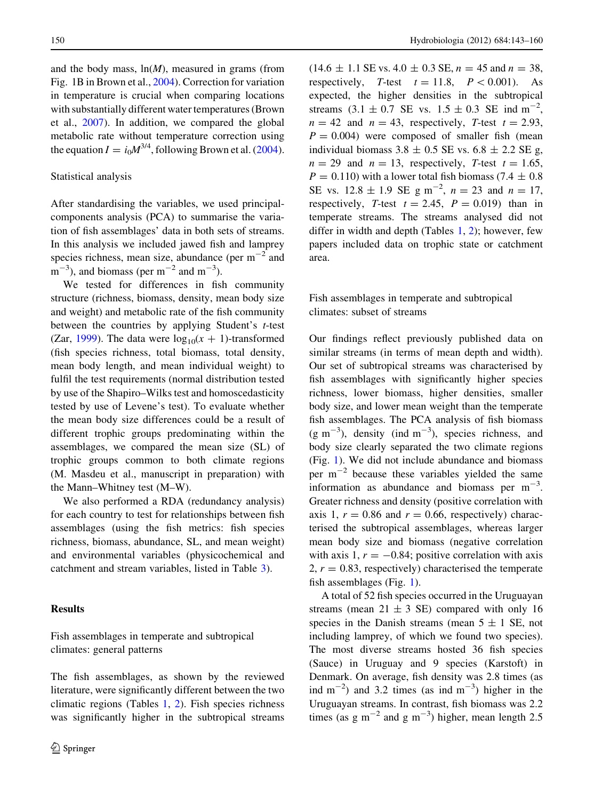and the body mass,  $ln(M)$ , measured in grams (from Fig. 1B in Brown et al., [2004\)](#page-15-0). Correction for variation in temperature is crucial when comparing locations with substantially different water temperatures (Brown et al., [2007\)](#page-15-0). In addition, we compared the global metabolic rate without temperature correction using the equation  $I = i_0 M^{3/4}$ , following Brown et al. [\(2004](#page-15-0)).

#### Statistical analysis

After standardising the variables, we used principalcomponents analysis (PCA) to summarise the variation of fish assemblages' data in both sets of streams. In this analysis we included jawed fish and lamprey species richness, mean size, abundance (per  $m^{-2}$  and  $m^{-3}$ ), and biomass (per  $m^{-2}$  and  $m^{-3}$ ).

We tested for differences in fish community structure (richness, biomass, density, mean body size and weight) and metabolic rate of the fish community between the countries by applying Student's  $t$ -test (Zar, [1999\)](#page-17-0). The data were  $log_{10}(x + 1)$ -transformed (fish species richness, total biomass, total density, mean body length, and mean individual weight) to fulfil the test requirements (normal distribution tested by use of the Shapiro–Wilks test and homoscedasticity tested by use of Levene's test). To evaluate whether the mean body size differences could be a result of different trophic groups predominating within the assemblages, we compared the mean size (SL) of trophic groups common to both climate regions (M. Masdeu et al., manuscript in preparation) with the Mann–Whitney test (M–W).

We also performed a RDA (redundancy analysis) for each country to test for relationships between fish assemblages (using the fish metrics: fish species richness, biomass, abundance, SL, and mean weight) and environmental variables (physicochemical and catchment and stream variables, listed in Table [3](#page-6-0)).

## Results

Fish assemblages in temperate and subtropical climates: general patterns

The fish assemblages, as shown by the reviewed literature, were significantly different between the two climatic regions (Tables [1,](#page-2-0) [2\)](#page-4-0). Fish species richness was significantly higher in the subtropical streams  $(14.6 \pm 1.1 \text{ SE vs. } 4.0 \pm 0.3 \text{ SE}, n = 45 \text{ and } n = 38,$ respectively, T-test  $t = 11.8$ ,  $P \lt 0.001$ . As expected, the higher densities in the subtropical streams  $(3.1 \pm 0.7 \text{ SE vs. } 1.5 \pm 0.3 \text{ SE ind m}^{-2})$ ,  $n = 42$  and  $n = 43$ , respectively, T-test  $t = 2.93$ ,  $P = 0.004$ ) were composed of smaller fish (mean individual biomass  $3.8 \pm 0.5$  SE vs.  $6.8 \pm 2.2$  SE g,  $n = 29$  and  $n = 13$ , respectively, T-test  $t = 1.65$ ,  $P = 0.110$ ) with a lower total fish biomass (7.4  $\pm$  0.8) SE vs.  $12.8 \pm 1.9$  SE g m<sup>-2</sup>,  $n = 23$  and  $n = 17$ , respectively, T-test  $t = 2.45$ ,  $P = 0.019$ ) than in temperate streams. The streams analysed did not differ in width and depth (Tables  $1, 2$  $1, 2$ ); however, few papers included data on trophic state or catchment area.

# Fish assemblages in temperate and subtropical climates: subset of streams

Our findings reflect previously published data on similar streams (in terms of mean depth and width). Our set of subtropical streams was characterised by fish assemblages with significantly higher species richness, lower biomass, higher densities, smaller body size, and lower mean weight than the temperate fish assemblages. The PCA analysis of fish biomass  $(g m<sup>-3</sup>)$ , density (ind m<sup>-3</sup>), species richness, and body size clearly separated the two climate regions (Fig. [1](#page-8-0)). We did not include abundance and biomass per  $m^{-2}$  because these variables yielded the same information as abundance and biomass per  $m^{-3}$ . Greater richness and density (positive correlation with axis 1,  $r = 0.86$  and  $r = 0.66$ , respectively) characterised the subtropical assemblages, whereas larger mean body size and biomass (negative correlation with axis 1,  $r = -0.84$ ; positive correlation with axis  $2, r = 0.83$ , respectively) characterised the temperate fish assemblages (Fig. [1](#page-8-0)).

A total of 52 fish species occurred in the Uruguayan streams (mean  $21 \pm 3$  SE) compared with only 16 species in the Danish streams (mean  $5 \pm 1$  SE, not including lamprey, of which we found two species). The most diverse streams hosted 36 fish species (Sauce) in Uruguay and 9 species (Karstoft) in Denmark. On average, fish density was 2.8 times (as ind  $m^{-2}$ ) and 3.2 times (as ind  $m^{-3}$ ) higher in the Uruguayan streams. In contrast, fish biomass was 2.2 times (as  $g m^{-2}$  and  $g m^{-3}$ ) higher, mean length 2.5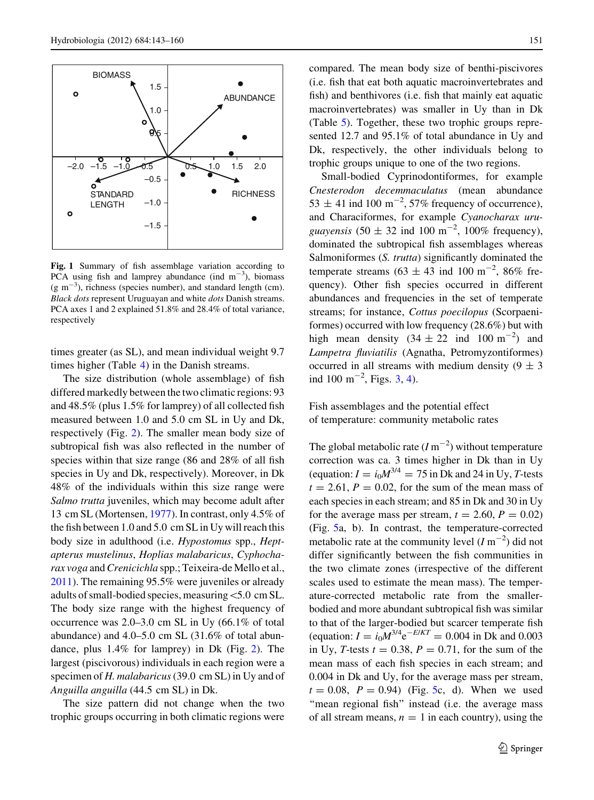<span id="page-8-0"></span>

Fig. 1 Summary of fish assemblage variation according to PCA using fish and lamprey abundance (ind  $m^{-3}$ ), biomass  $(g m<sup>-3</sup>)$ , richness (species number), and standard length (cm). Black dots represent Uruguayan and white dots Danish streams. PCA axes 1 and 2 explained 51.8% and 28.4% of total variance, respectively

times greater (as SL), and mean individual weight 9.7 times higher (Table [4](#page-9-0)) in the Danish streams.

The size distribution (whole assemblage) of fish differed markedly between the two climatic regions: 93 and 48.5% (plus 1.5% for lamprey) of all collected fish measured between 1.0 and 5.0 cm SL in Uy and Dk, respectively (Fig. [2\)](#page-10-0). The smaller mean body size of subtropical fish was also reflected in the number of species within that size range (86 and 28% of all fish species in Uy and Dk, respectively). Moreover, in Dk 48% of the individuals within this size range were Salmo trutta juveniles, which may become adult after 13 cm SL (Mortensen, [1977\)](#page-17-0). In contrast, only 4.5% of the fish between 1.0 and 5.0 cm SL in Uy will reach this body size in adulthood (i.e. *Hypostomus* spp., *Hept*apterus mustelinus, Hoplias malabaricus, Cyphocharax voga and Crenicichla spp.; Teixeira-de Mello et al., [2011\)](#page-17-0). The remaining 95.5% were juveniles or already adults of small-bodied species, measuring\5.0 cm SL. The body size range with the highest frequency of occurrence was 2.0–3.0 cm SL in Uy (66.1% of total abundance) and 4.0–5.0 cm SL (31.6% of total abundance, plus 1.4% for lamprey) in Dk (Fig. [2](#page-10-0)). The largest (piscivorous) individuals in each region were a specimen of H. malabaricus (39.0 cm SL) in Uy and of Anguilla anguilla (44.5 cm SL) in Dk.

The size pattern did not change when the two trophic groups occurring in both climatic regions were compared. The mean body size of benthi-piscivores (i.e. fish that eat both aquatic macroinvertebrates and fish) and benthivores (i.e. fish that mainly eat aquatic macroinvertebrates) was smaller in Uy than in Dk (Table [5](#page-10-0)). Together, these two trophic groups represented 12.7 and 95.1% of total abundance in Uy and Dk, respectively, the other individuals belong to trophic groups unique to one of the two regions.

Small-bodied Cyprinodontiformes, for example Cnesterodon decemmaculatus (mean abundance  $53 \pm 41$  ind  $100 \text{ m}^{-2}$ ,  $57\%$  frequency of occurrence), and Characiformes, for example Cyanocharax uruguayensis  $(50 \pm 32 \text{ ind } 100 \text{ m}^{-2}, 100\% \text{ frequency})$ , dominated the subtropical fish assemblages whereas Salmoniformes (S. trutta) significantly dominated the temperate streams  $(63 \pm 43 \text{ ind } 100 \text{ m}^{-2}, 86\% \text{ fre-}$ quency). Other fish species occurred in different abundances and frequencies in the set of temperate streams; for instance, Cottus poecilopus (Scorpaeniformes) occurred with low frequency (28.6%) but with high mean density  $(34 \pm 22 \text{ ind } 100 \text{ m}^{-2})$  and Lampetra fluviatilis (Agnatha, Petromyzontiformes) occurred in all streams with medium density  $(9 \pm 3)$ ind 100 m<sup>-2</sup>, Figs. [3](#page-11-0), [4\)](#page-12-0).

Fish assemblages and the potential effect of temperature: community metabolic rates

The global metabolic rate  $(I m^{-2})$  without temperature correction was ca. 3 times higher in Dk than in Uy (equation:  $I = i_0 M^{3/4} = 75$  in Dk and 24 in Uy, T-tests  $t = 2.61$ ,  $P = 0.02$ , for the sum of the mean mass of each species in each stream; and 85 in Dk and 30 in Uy for the average mass per stream,  $t = 2.60$ ,  $P = 0.02$ ) (Fig. [5](#page-13-0)a, b). In contrast, the temperature-corrected metabolic rate at the community level  $(I m^{-2})$  did not differ significantly between the fish communities in the two climate zones (irrespective of the different scales used to estimate the mean mass). The temperature-corrected metabolic rate from the smallerbodied and more abundant subtropical fish was similar to that of the larger-bodied but scarcer temperate fish (equation:  $I = i_0 M^{3/4} e^{-E/KT} = 0.004$  in Dk and 0.003 in Uy, T-tests  $t = 0.38$ ,  $P = 0.71$ , for the sum of the mean mass of each fish species in each stream; and 0.004 in Dk and Uy, for the average mass per stream,  $t = 0.08$ ,  $P = 0.94$ ) (Fig. [5](#page-13-0)c, d). When we used "mean regional fish" instead (i.e. the average mass of all stream means,  $n = 1$  in each country), using the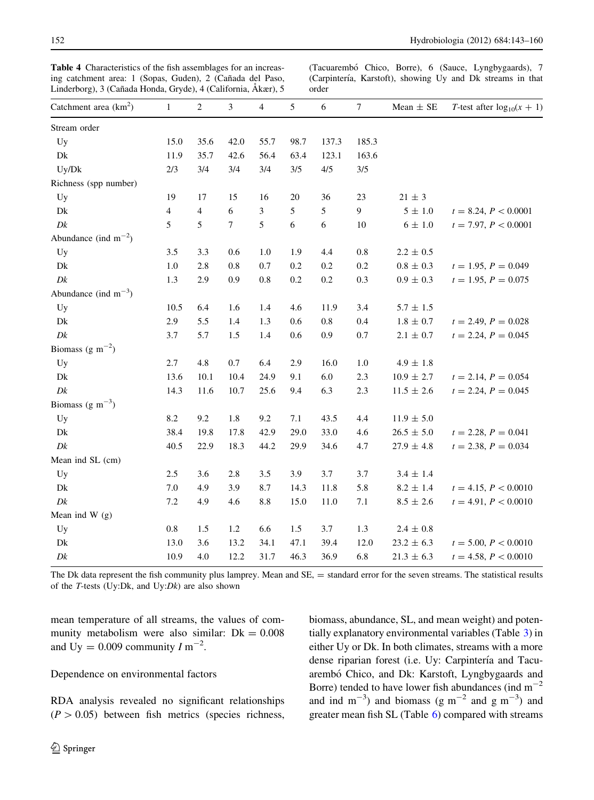| Catchment area $(km^2)$                   | $\mathbf{1}$   | $\mathfrak{2}$ | $\mathfrak{Z}$ | $\overline{4}$ | 5    | 6       | $\tau$ | Mean $\pm$ SE   | T-test after $log_{10}(x + 1)$ |
|-------------------------------------------|----------------|----------------|----------------|----------------|------|---------|--------|-----------------|--------------------------------|
| Stream order                              |                |                |                |                |      |         |        |                 |                                |
| Uy                                        | 15.0           | 35.6           | 42.0           | 55.7           | 98.7 | 137.3   | 185.3  |                 |                                |
| Dk                                        | 11.9           | 35.7           | 42.6           | 56.4           | 63.4 | 123.1   | 163.6  |                 |                                |
| Uy/Dk                                     | 2/3            | 3/4            | 3/4            | 3/4            | 3/5  | 4/5     | 3/5    |                 |                                |
| Richness (spp number)                     |                |                |                |                |      |         |        |                 |                                |
| Uy                                        | 19             | 17             | 15             | 16             | 20   | 36      | 23     | $21 \pm 3$      |                                |
| Dk                                        | $\overline{4}$ | $\overline{4}$ | 6              | 3              | 5    | 5       | 9      | $5 \pm 1.0$     | $t = 8.24, P < 0.0001$         |
| Dk                                        | 5              | 5              | $\overline{7}$ | 5              | 6    | 6       | $10\,$ | $6 \pm 1.0$     | $t = 7.97, P < 0.0001$         |
| Abundance (ind $m^{-2}$ )                 |                |                |                |                |      |         |        |                 |                                |
| Uy                                        | 3.5            | 3.3            | 0.6            | 1.0            | 1.9  | 4.4     | 0.8    | $2.2 \pm 0.5$   |                                |
| Dk                                        | 1.0            | 2.8            | 0.8            | 0.7            | 0.2  | 0.2     | 0.2    | $0.8\,\pm\,0.3$ | $t = 1.95, P = 0.049$          |
| Dk                                        | 1.3            | 2.9            | 0.9            | $0.8\,$        | 0.2  | 0.2     | 0.3    | $0.9\,\pm\,0.3$ | $t = 1.95, P = 0.075$          |
| Abundance (ind $m^{-3}$ )                 |                |                |                |                |      |         |        |                 |                                |
| Uy                                        | 10.5           | 6.4            | 1.6            | 1.4            | 4.6  | 11.9    | 3.4    | $5.7 \pm 1.5$   |                                |
| Dk                                        | 2.9            | 5.5            | 1.4            | 1.3            | 0.6  | $0.8\,$ | 0.4    | $1.8 \pm 0.7$   | $t = 2.49, P = 0.028$          |
| Dk                                        | 3.7            | 5.7            | 1.5            | 1.4            | 0.6  | 0.9     | 0.7    | $2.1\,\pm\,0.7$ | $t = 2.24, P = 0.045$          |
| Biomass (g m <sup><math>-2</math></sup> ) |                |                |                |                |      |         |        |                 |                                |
| Uy                                        | 2.7            | 4.8            | 0.7            | 6.4            | 2.9  | 16.0    | 1.0    | $4.9\,\pm\,1.8$ |                                |
| Dk                                        | 13.6           | 10.1           | 10.4           | 24.9           | 9.1  | 6.0     | 2.3    | $10.9 \pm 2.7$  | $t = 2.14, P = 0.054$          |
| Dk                                        | 14.3           | 11.6           | 10.7           | 25.6           | 9.4  | 6.3     | 2.3    | $11.5 \pm 2.6$  | $t = 2.24, P = 0.045$          |
| Biomass (g m <sup><math>-3</math></sup> ) |                |                |                |                |      |         |        |                 |                                |
| Uy                                        | 8.2            | 9.2            | 1.8            | 9.2            | 7.1  | 43.5    | 4.4    | $11.9 \pm 5.0$  |                                |
| Dk                                        | 38.4           | 19.8           | 17.8           | 42.9           | 29.0 | 33.0    | 4.6    | $26.5 \pm 5.0$  | $t = 2.28, P = 0.041$          |
| Dk                                        | 40.5           | 22.9           | 18.3           | 44.2           | 29.9 | 34.6    | 4.7    | $27.9 \pm 4.8$  | $t = 2.38, P = 0.034$          |
| Mean ind SL (cm)                          |                |                |                |                |      |         |        |                 |                                |
| Uy                                        | $2.5\,$        | 3.6            | 2.8            | 3.5            | 3.9  | 3.7     | 3.7    | $3.4 \pm 1.4$   |                                |
| Dk                                        | 7.0            | 4.9            | 3.9            | 8.7            | 14.3 | 11.8    | 5.8    | $8.2 \pm 1.4$   | $t = 4.15, P < 0.0010$         |
| Dk                                        | 7.2            | 4.9            | 4.6            | 8.8            | 15.0 | 11.0    | 7.1    | $8.5 \pm 2.6$   | $t = 4.91, P < 0.0010$         |
| Mean ind $W$ (g)                          |                |                |                |                |      |         |        |                 |                                |
| Uy                                        | $0.8\,$        | 1.5            | 1.2            | 6.6            | 1.5  | 3.7     | 1.3    | $2.4 \pm 0.8$   |                                |
| Dk                                        | 13.0           | 3.6            | 13.2           | 34.1           | 47.1 | 39.4    | 12.0   | $23.2 \pm 6.3$  | $t = 5.00, P < 0.0010$         |
| Dk                                        | 10.9           | 4.0            | 12.2           | 31.7           | 46.3 | 36.9    | 6.8    | $21.3 \pm 6.3$  | $t = 4.58, P < 0.0010$         |

<span id="page-9-0"></span>Table 4 Characteristics of the fish assemblages for an increasing catchment area: 1 (Sopas, Guden), 2 (Cañada del Paso, Linderborg), 3 (Cañada Honda, Gryde), 4 (California, Åkær), 5

(Tacuarembó Chico, Borre), 6 (Sauce, Lyngbygaards), 7 (Carpintería, Karstoft), showing Uy and Dk streams in that order

The Dk data represent the fish community plus lamprey. Mean and SE, = standard error for the seven streams. The statistical results of the  $T$ -tests (Uy:Dk, and Uy: $Dk$ ) are also shown

mean temperature of all streams, the values of community metabolism were also similar:  $Dk = 0.008$ and Uy = 0.009 community  $I m^{-2}$ .

## Dependence on environmental factors

RDA analysis revealed no significant relationships  $(P > 0.05)$  between fish metrics (species richness,

 $\circled{2}$  Springer

biomass, abundance, SL, and mean weight) and potentially explanatory environmental variables (Table [3](#page-6-0)) in either Uy or Dk. In both climates, streams with a more dense riparian forest (i.e. Uy: Carpintería and Tacuarembó Chico, and Dk: Karstoft, Lyngbygaards and Borre) tended to have lower fish abundances (ind  $m^{-2}$ ) and ind  $m^{-3}$ ) and biomass (g  $m^{-2}$  and g  $m^{-3}$ ) and greater mean fish SL (Table [6](#page-14-0)) compared with streams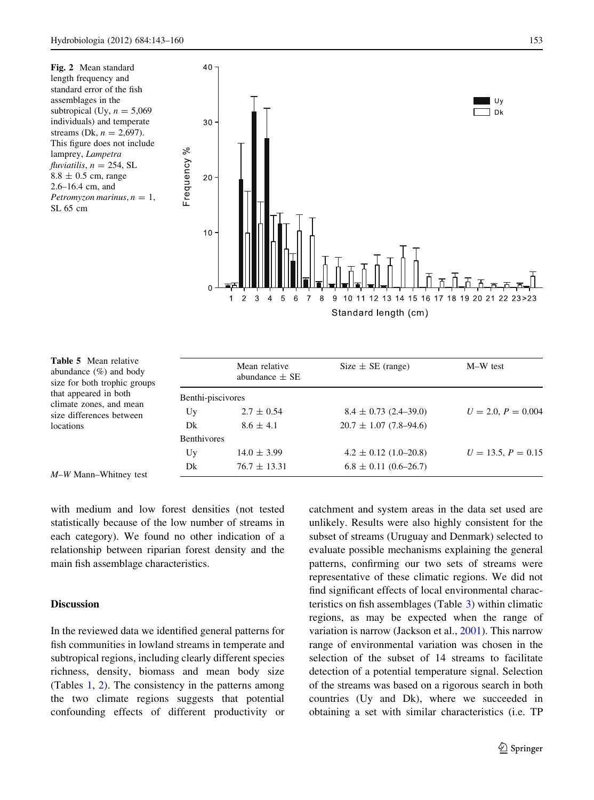<span id="page-10-0"></span>Fig. 2 Mean standard length frequency and standard error of the fish assemblages in the subtropical (Uy,  $n = 5,069$ individuals) and temperate streams (Dk,  $n = 2,697$ ). This figure does not include lamprey, Lampetra  $fluxi<sub>ij</sub> = 254, SL$  $8.8 \pm 0.5$  cm, range 2.6–16.4 cm, and Petromyzon marinus,  $n = 1$ , SL 65 cm



| <b>Table 5</b> Mean relative |
|------------------------------|
| abundance $(\%)$ and body    |
| size for both trophic groups |
| that appeared in both        |
| climate zones, and mean      |
| size differences between     |
| locations                    |

|                    | Mean relative<br>abundance $\pm$ SE | Size $\pm$ SE (range)      | M-W test             |
|--------------------|-------------------------------------|----------------------------|----------------------|
| Benthi-piscivores  |                                     |                            |                      |
| Uy                 | $2.7 \pm 0.54$                      | $8.4 \pm 0.73$ (2.4–39.0)  | $U = 2.0, P = 0.004$ |
| Dk                 | $8.6 \pm 4.1$                       | $20.7 \pm 1.07$ (7.8–94.6) |                      |
| <b>Benthivores</b> |                                     |                            |                      |
| Uy                 | $14.0 \pm 3.99$                     | $4.2 \pm 0.12$ (1.0–20.8)  | $U = 13.5, P = 0.15$ |
| Dk                 | $76.7 \pm 13.31$                    | $6.8 \pm 0.11$ (0.6–26.7)  |                      |

M–W Mann–Whitney test

with medium and low forest densities (not tested statistically because of the low number of streams in each category). We found no other indication of a relationship between riparian forest density and the main fish assemblage characteristics.

## Discussion

In the reviewed data we identified general patterns for fish communities in lowland streams in temperate and subtropical regions, including clearly different species richness, density, biomass and mean body size (Tables [1](#page-2-0), [2\)](#page-4-0). The consistency in the patterns among the two climate regions suggests that potential confounding effects of different productivity or catchment and system areas in the data set used are unlikely. Results were also highly consistent for the subset of streams (Uruguay and Denmark) selected to evaluate possible mechanisms explaining the general patterns, confirming our two sets of streams were representative of these climatic regions. We did not find significant effects of local environmental characteristics on fish assemblages (Table [3](#page-6-0)) within climatic regions, as may be expected when the range of variation is narrow (Jackson et al., [2001\)](#page-16-0). This narrow range of environmental variation was chosen in the selection of the subset of 14 streams to facilitate detection of a potential temperature signal. Selection of the streams was based on a rigorous search in both countries (Uy and Dk), where we succeeded in obtaining a set with similar characteristics (i.e. TP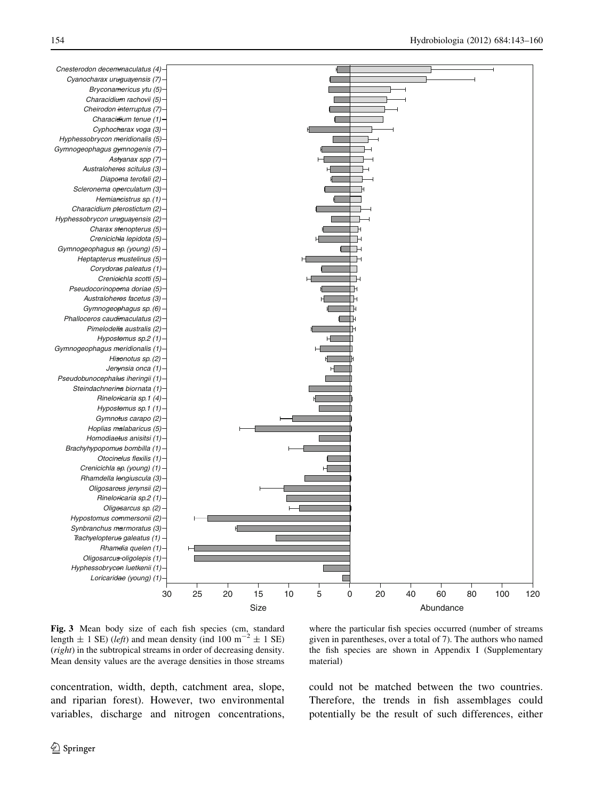<span id="page-11-0"></span>

Fig. 3 Mean body size of each fish species (cm, standard length  $\pm$  1 SE) (left) and mean density (ind 100 m<sup>-2</sup>  $\pm$  1 SE) (right) in the subtropical streams in order of decreasing density. Mean density values are the average densities in those streams

where the particular fish species occurred (number of streams given in parentheses, over a total of 7). The authors who named the fish species are shown in Appendix I (Supplementary material)

concentration, width, depth, catchment area, slope, and riparian forest). However, two environmental variables, discharge and nitrogen concentrations, could not be matched between the two countries. Therefore, the trends in fish assemblages could potentially be the result of such differences, either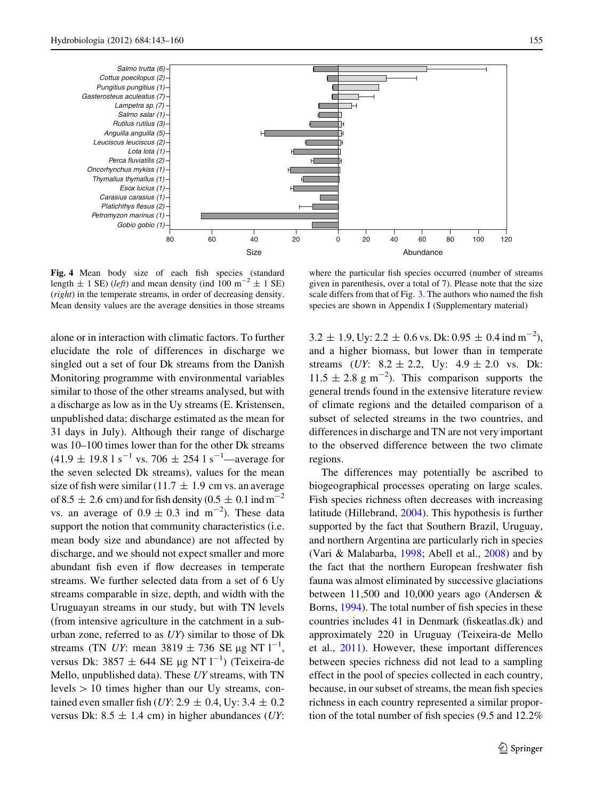<span id="page-12-0"></span>

Fig. 4 Mean body size of each fish species (standard length  $\pm$  1 SE) (*left*) and mean density (ind 100 m<sup>-2</sup>  $\pm$  1 SE) (right) in the temperate streams, in order of decreasing density. Mean density values are the average densities in those streams

alone or in interaction with climatic factors. To further elucidate the role of differences in discharge we singled out a set of four Dk streams from the Danish Monitoring programme with environmental variables similar to those of the other streams analysed, but with a discharge as low as in the Uy streams (E. Kristensen, unpublished data; discharge estimated as the mean for 31 days in July). Although their range of discharge was 10–100 times lower than for the other Dk streams  $(41.9 \pm 19.8 \text{ kg}^{-1} \text{ vs. } 706 \pm 254 \text{ kg}^{-1}$ —average for the seven selected Dk streams), values for the mean size of fish were similar (11.7  $\pm$  1.9 cm vs. an average of 8.5  $\pm$  2.6 cm) and for fish density (0.5  $\pm$  0.1 ind m<sup>-2</sup> vs. an average of  $0.9 \pm 0.3$  ind m<sup>-2</sup>). These data support the notion that community characteristics (i.e. mean body size and abundance) are not affected by discharge, and we should not expect smaller and more abundant fish even if flow decreases in temperate streams. We further selected data from a set of 6 Uy streams comparable in size, depth, and width with the Uruguayan streams in our study, but with TN levels (from intensive agriculture in the catchment in a suburban zone, referred to as UY) similar to those of Dk streams (TN UY: mean  $3819 \pm 736$  SE µg NT  $1^{-1}$ , versus Dk:  $3857 \pm 644$  SE µg NT  $1^{-1}$ ) (Teixeira-de Mello, unpublished data). These UY streams, with TN levels  $> 10$  times higher than our Uy streams, contained even smaller fish (UY: 2.9  $\pm$  0.4, Uy: 3.4  $\pm$  0.2 versus Dk: 8.5  $\pm$  1.4 cm) in higher abundances (*UY*:

where the particular fish species occurred (number of streams given in parenthesis, over a total of 7). Please note that the size scale differs from that of Fig. [3.](#page-11-0) The authors who named the fish species are shown in Appendix I (Supplementary material)

 $3.2 \pm 1.9$ , Uy:  $2.2 \pm 0.6$  vs. Dk:  $0.95 \pm 0.4$  ind m<sup>-2</sup>), and a higher biomass, but lower than in temperate streams (UY:  $8.2 \pm 2.2$ , Uy:  $4.9 \pm 2.0$  vs. Dk:  $11.5 \pm 2.8$  g m<sup>-2</sup>). This comparison supports the general trends found in the extensive literature review of climate regions and the detailed comparison of a subset of selected streams in the two countries, and differences in discharge and TN are not very important to the observed difference between the two climate regions.

The differences may potentially be ascribed to biogeographical processes operating on large scales. Fish species richness often decreases with increasing latitude (Hillebrand, [2004](#page-16-0)). This hypothesis is further supported by the fact that Southern Brazil, Uruguay, and northern Argentina are particularly rich in species (Vari & Malabarba, [1998;](#page-17-0) Abell et al., [2008](#page-15-0)) and by the fact that the northern European freshwater fish fauna was almost eliminated by successive glaciations between 11,500 and 10,000 years ago (Andersen & Borns, [1994](#page-15-0)). The total number of fish species in these countries includes 41 in Denmark (fiskeatlas.dk) and approximately 220 in Uruguay (Teixeira-de Mello et al., [2011](#page-17-0)). However, these important differences between species richness did not lead to a sampling effect in the pool of species collected in each country, because, in our subset of streams, the mean fish species richness in each country represented a similar proportion of the total number of fish species (9.5 and 12.2%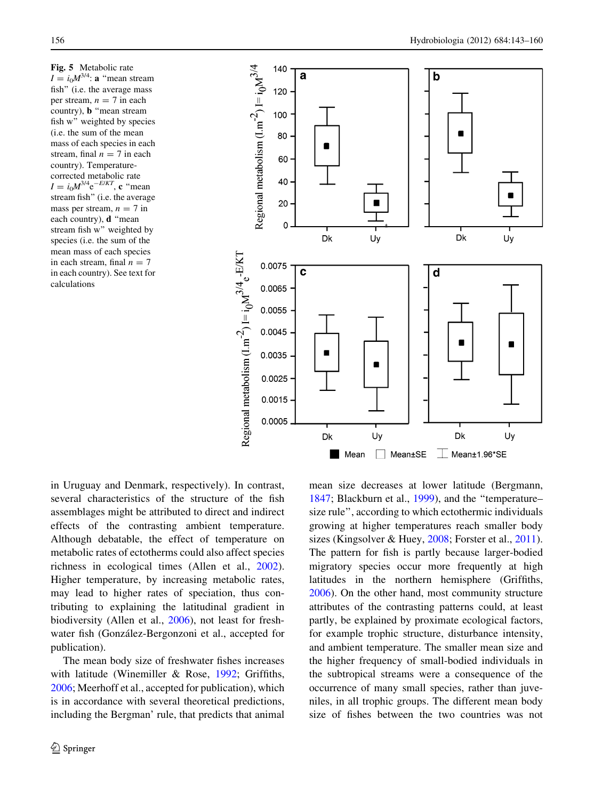<span id="page-13-0"></span>Fig. 5 Metabolic rate  $I = i_0 M^{3/4}$ : a "mean stream fish'' (i.e. the average mass per stream,  $n = 7$  in each country), b ''mean stream fish w'' weighted by species (i.e. the sum of the mean mass of each species in each stream, final  $n = 7$  in each country). Temperaturecorrected metabolic rate  $I = i_0 M^{3/4} e^{-E/KT}$ , c "mean stream fish'' (i.e. the average mass per stream,  $n = 7$  in each country), d ''mean stream fish w'' weighted by species (i.e. the sum of the mean mass of each species in each stream, final  $n = 7$ in each country). See text for calculations



in Uruguay and Denmark, respectively). In contrast, several characteristics of the structure of the fish assemblages might be attributed to direct and indirect effects of the contrasting ambient temperature. Although debatable, the effect of temperature on metabolic rates of ectotherms could also affect species richness in ecological times (Allen et al., [2002](#page-15-0)). Higher temperature, by increasing metabolic rates, may lead to higher rates of speciation, thus contributing to explaining the latitudinal gradient in biodiversity (Allen et al., [2006\)](#page-15-0), not least for freshwater fish (González-Bergonzoni et al., accepted for publication).

The mean body size of freshwater fishes increases with latitude (Winemiller & Rose, [1992](#page-17-0); Griffiths, [2006;](#page-16-0) Meerhoff et al., accepted for publication), which is in accordance with several theoretical predictions, including the Bergman' rule, that predicts that animal mean size decreases at lower latitude (Bergmann, [1847;](#page-15-0) Blackburn et al., [1999\)](#page-15-0), and the ''temperature– size rule'', according to which ectothermic individuals growing at higher temperatures reach smaller body sizes (Kingsolver & Huey, [2008;](#page-16-0) Forster et al., [2011](#page-16-0)). The pattern for fish is partly because larger-bodied migratory species occur more frequently at high latitudes in the northern hemisphere (Griffiths, [2006\)](#page-16-0). On the other hand, most community structure attributes of the contrasting patterns could, at least partly, be explained by proximate ecological factors, for example trophic structure, disturbance intensity, and ambient temperature. The smaller mean size and the higher frequency of small-bodied individuals in the subtropical streams were a consequence of the occurrence of many small species, rather than juveniles, in all trophic groups. The different mean body size of fishes between the two countries was not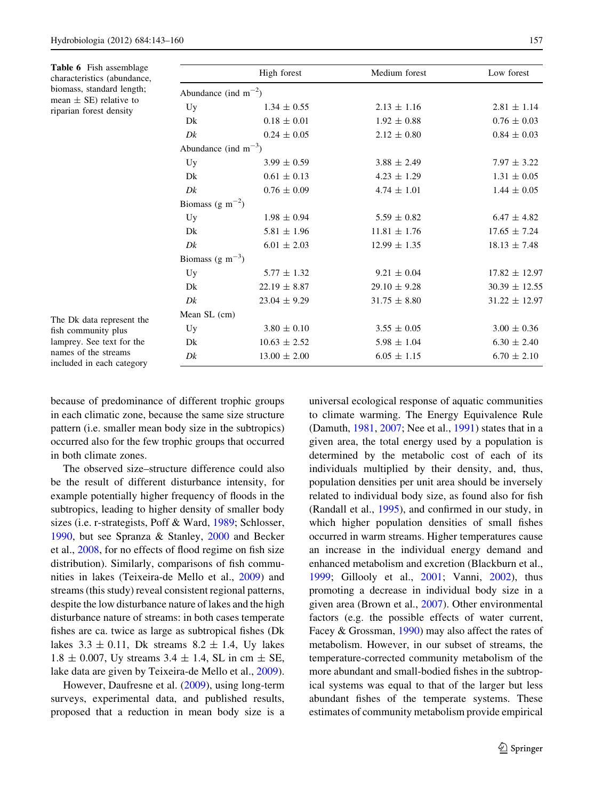<span id="page-14-0"></span>

| <b>Table 6</b> Fish assemblage<br>characteristics (abundance,                      |                                           | High forest               | Medium forest    | Low forest        |  |  |  |  |  |  |
|------------------------------------------------------------------------------------|-------------------------------------------|---------------------------|------------------|-------------------|--|--|--|--|--|--|
| biomass, standard length;<br>mean $\pm$ SE) relative to<br>riparian forest density |                                           | Abundance (ind $m^{-2}$ ) |                  |                   |  |  |  |  |  |  |
|                                                                                    | Uy                                        | $1.34 \pm 0.55$           | $2.13 \pm 1.16$  | $2.81 \pm 1.14$   |  |  |  |  |  |  |
|                                                                                    | Dk                                        | $0.18 \pm 0.01$           | $1.92 \pm 0.88$  | $0.76 \pm 0.03$   |  |  |  |  |  |  |
|                                                                                    | Dk                                        | $0.24 \pm 0.05$           | $2.12 \pm 0.80$  | $0.84 \pm 0.03$   |  |  |  |  |  |  |
|                                                                                    | Abundance (ind $m^{-3}$ )                 |                           |                  |                   |  |  |  |  |  |  |
|                                                                                    | Uy                                        | $3.99 \pm 0.59$           | $3.88 \pm 2.49$  | $7.97 \pm 3.22$   |  |  |  |  |  |  |
|                                                                                    | Dk                                        | $0.61 \pm 0.13$           | $4.23 \pm 1.29$  | $1.31 \pm 0.05$   |  |  |  |  |  |  |
|                                                                                    | Dk                                        | $0.76 \pm 0.09$           | $4.74 \pm 1.01$  | $1.44 \pm 0.05$   |  |  |  |  |  |  |
|                                                                                    | Biomass (g m <sup><math>-2</math></sup> ) |                           |                  |                   |  |  |  |  |  |  |
|                                                                                    | Uy                                        | $1.98 \pm 0.94$           | $5.59 \pm 0.82$  | $6.47 \pm 4.82$   |  |  |  |  |  |  |
|                                                                                    | Dk                                        | $5.81 \pm 1.96$           | $11.81 \pm 1.76$ | $17.65 \pm 7.24$  |  |  |  |  |  |  |
|                                                                                    | Dk                                        | $6.01 \pm 2.03$           | $12.99 \pm 1.35$ | $18.13 \pm 7.48$  |  |  |  |  |  |  |
|                                                                                    | Biomass (g m <sup><math>-3</math></sup> ) |                           |                  |                   |  |  |  |  |  |  |
|                                                                                    | Uy                                        | $5.77 \pm 1.32$           | $9.21 \pm 0.04$  | $17.82 \pm 12.97$ |  |  |  |  |  |  |
|                                                                                    | Dk                                        | $22.19 \pm 8.87$          | $29.10 \pm 9.28$ | $30.39 \pm 12.55$ |  |  |  |  |  |  |
|                                                                                    | Dk                                        | $23.04 \pm 9.29$          | $31.75 \pm 8.80$ | $31.22 \pm 12.97$ |  |  |  |  |  |  |
|                                                                                    | Mean SL (cm)                              |                           |                  |                   |  |  |  |  |  |  |
| The Dk data represent the<br>fish community plus                                   | Uy                                        | $3.80 \pm 0.10$           | $3.55 \pm 0.05$  | $3.00 \pm 0.36$   |  |  |  |  |  |  |
| lamprey. See text for the                                                          | Dk                                        | $10.63 \pm 2.52$          | $5.98 \pm 1.04$  | $6.30 \pm 2.40$   |  |  |  |  |  |  |
| names of the streams<br>included in each category                                  | Dk                                        | $13.00 \pm 2.00$          | $6.05 \pm 1.15$  | $6.70 \pm 2.10$   |  |  |  |  |  |  |

because of predominance of different trophic groups in each climatic zone, because the same size structure pattern (i.e. smaller mean body size in the subtropics) occurred also for the few trophic groups that occurred in both climate zones.

The observed size–structure difference could also be the result of different disturbance intensity, for example potentially higher frequency of floods in the subtropics, leading to higher density of smaller body sizes (i.e. r-strategists, Poff & Ward, [1989](#page-17-0); Schlosser, [1990,](#page-17-0) but see Spranza & Stanley, [2000](#page-17-0) and Becker et al., [2008](#page-15-0), for no effects of flood regime on fish size distribution). Similarly, comparisons of fish communities in lakes (Teixeira-de Mello et al., [2009](#page-17-0)) and streams (this study) reveal consistent regional patterns, despite the low disturbance nature of lakes and the high disturbance nature of streams: in both cases temperate fishes are ca. twice as large as subtropical fishes (Dk lakes  $3.3 \pm 0.11$ , Dk streams  $8.2 \pm 1.4$ , Uy lakes  $1.8 \pm 0.007$ , Uy streams  $3.4 \pm 1.4$ , SL in cm  $\pm$  SE, lake data are given by Teixeira-de Mello et al., [2009](#page-17-0)).

However, Daufresne et al. ([2009\)](#page-16-0), using long-term surveys, experimental data, and published results, proposed that a reduction in mean body size is a universal ecological response of aquatic communities to climate warming. The Energy Equivalence Rule (Damuth, [1981](#page-16-0), [2007](#page-16-0); Nee et al., [1991\)](#page-17-0) states that in a given area, the total energy used by a population is determined by the metabolic cost of each of its individuals multiplied by their density, and, thus, population densities per unit area should be inversely related to individual body size, as found also for fish (Randall et al., [1995](#page-17-0)), and confirmed in our study, in which higher population densities of small fishes occurred in warm streams. Higher temperatures cause an increase in the individual energy demand and enhanced metabolism and excretion (Blackburn et al., [1999;](#page-15-0) Gillooly et al., [2001;](#page-16-0) Vanni, [2002](#page-17-0)), thus promoting a decrease in individual body size in a given area (Brown et al., [2007](#page-15-0)). Other environmental factors (e.g. the possible effects of water current, Facey & Grossman, [1990\)](#page-16-0) may also affect the rates of metabolism. However, in our subset of streams, the temperature-corrected community metabolism of the more abundant and small-bodied fishes in the subtropical systems was equal to that of the larger but less abundant fishes of the temperate systems. These estimates of community metabolism provide empirical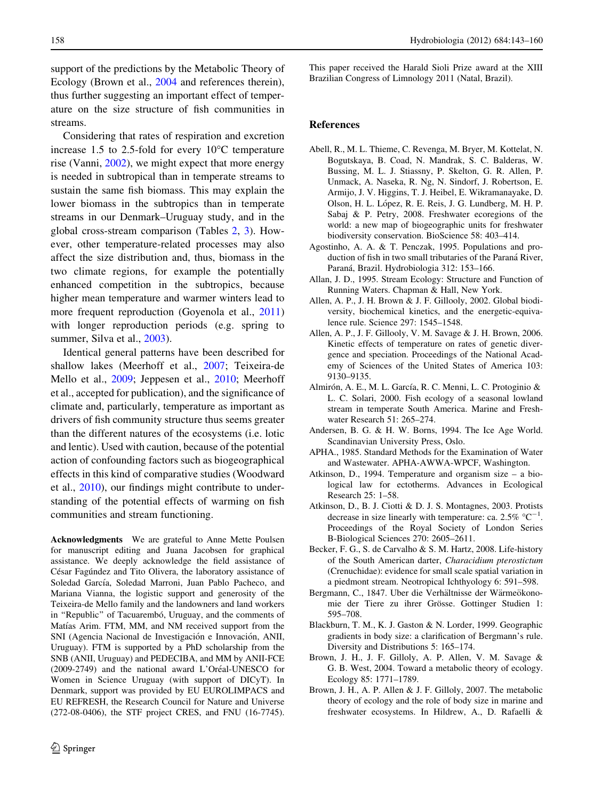<span id="page-15-0"></span>support of the predictions by the Metabolic Theory of Ecology (Brown et al., 2004 and references therein), thus further suggesting an important effect of temperature on the size structure of fish communities in streams.

Considering that rates of respiration and excretion increase 1.5 to 2.5-fold for every  $10^{\circ}$ C temperature rise (Vanni, [2002\)](#page-17-0), we might expect that more energy is needed in subtropical than in temperate streams to sustain the same fish biomass. This may explain the lower biomass in the subtropics than in temperate streams in our Denmark–Uruguay study, and in the global cross-stream comparison (Tables [2,](#page-4-0) [3\)](#page-6-0). However, other temperature-related processes may also affect the size distribution and, thus, biomass in the two climate regions, for example the potentially enhanced competition in the subtropics, because higher mean temperature and warmer winters lead to more frequent reproduction (Goyenola et al., [2011\)](#page-16-0) with longer reproduction periods (e.g. spring to summer, Silva et al., [2003\)](#page-17-0).

Identical general patterns have been described for shallow lakes (Meerhoff et al., [2007](#page-16-0); Teixeira-de Mello et al., [2009;](#page-17-0) Jeppesen et al., [2010;](#page-16-0) Meerhoff et al., accepted for publication), and the significance of climate and, particularly, temperature as important as drivers of fish community structure thus seems greater than the different natures of the ecosystems (i.e. lotic and lentic). Used with caution, because of the potential action of confounding factors such as biogeographical effects in this kind of comparative studies (Woodward et al., [2010\)](#page-17-0), our findings might contribute to understanding of the potential effects of warming on fish communities and stream functioning.

Acknowledgments We are grateful to Anne Mette Poulsen for manuscript editing and Juana Jacobsen for graphical assistance. We deeply acknowledge the field assistance of César Fagúndez and Tito Olivera, the laboratory assistance of Soledad García, Soledad Marroni, Juan Pablo Pacheco, and Mariana Vianna, the logistic support and generosity of the Teixeira-de Mello family and the landowners and land workers in "Republic" of Tacuarembó, Uruguay, and the comments of Matías Arim. FTM, MM, and NM received support from the SNI (Agencia Nacional de Investigación e Innovación, ANII, Uruguay). FTM is supported by a PhD scholarship from the SNB (ANII, Uruguay) and PEDECIBA, and MM by ANII-FCE (2009-2749) and the national award L'Oréal-UNESCO for Women in Science Uruguay (with support of DICyT). In Denmark, support was provided by EU EUROLIMPACS and EU REFRESH, the Research Council for Nature and Universe (272-08-0406), the STF project CRES, and FNU (16-7745).

This paper received the Harald Sioli Prize award at the XIII Brazilian Congress of Limnology 2011 (Natal, Brazil).

#### References

- Abell, R., M. L. Thieme, C. Revenga, M. Bryer, M. Kottelat, N. Bogutskaya, B. Coad, N. Mandrak, S. C. Balderas, W. Bussing, M. L. J. Stiassny, P. Skelton, G. R. Allen, P. Unmack, A. Naseka, R. Ng, N. Sindorf, J. Robertson, E. Armijo, J. V. Higgins, T. J. Heibel, E. Wikramanayake, D. Olson, H. L. López, R. E. Reis, J. G. Lundberg, M. H. P. Sabaj & P. Petry, 2008. Freshwater ecoregions of the world: a new map of biogeographic units for freshwater biodiversity conservation. BioScience 58: 403–414.
- Agostinho, A. A. & T. Penczak, 1995. Populations and production of fish in two small tributaries of the Paraná River, Paraná, Brazil. Hydrobiologia 312: 153-166.
- Allan, J. D., 1995. Stream Ecology: Structure and Function of Running Waters. Chapman & Hall, New York.
- Allen, A. P., J. H. Brown & J. F. Gillooly, 2002. Global biodiversity, biochemical kinetics, and the energetic-equivalence rule. Science 297: 1545–1548.
- Allen, A. P., J. F. Gillooly, V. M. Savage & J. H. Brown, 2006. Kinetic effects of temperature on rates of genetic divergence and speciation. Proceedings of the National Academy of Sciences of the United States of America 103: 9130–9135.
- Almirón, A. E., M. L. García, R. C. Menni, L. C. Protoginio & L. C. Solari, 2000. Fish ecology of a seasonal lowland stream in temperate South America. Marine and Freshwater Research 51: 265–274.
- Andersen, B. G. & H. W. Borns, 1994. The Ice Age World. Scandinavian University Press, Oslo.
- APHA., 1985. Standard Methods for the Examination of Water and Wastewater. APHA-AWWA-WPCF, Washington.
- Atkinson, D., 1994. Temperature and organism size a biological law for ectotherms. Advances in Ecological Research 25: 1–58.
- Atkinson, D., B. J. Ciotti & D. J. S. Montagnes, 2003. Protists decrease in size linearly with temperature: ca. 2.5%  $^{\circ}C^{-1}$ . Proceedings of the Royal Society of London Series B-Biological Sciences 270: 2605–2611.
- Becker, F. G., S. de Carvalho & S. M. Hartz, 2008. Life-history of the South American darter, Characidium pterostictum (Crenuchidae): evidence for small scale spatial variation in a piedmont stream. Neotropical Ichthyology 6: 591–598.
- Bergmann, C., 1847. Uber die Verhältnisse der Wärmeökonomie der Tiere zu ihrer Grösse. Gottinger Studien 1: 595–708.
- Blackburn, T. M., K. J. Gaston & N. Lorder, 1999. Geographic gradients in body size: a clarification of Bergmann's rule. Diversity and Distributions 5: 165–174.
- Brown, J. H., J. F. Gilloly, A. P. Allen, V. M. Savage & G. B. West, 2004. Toward a metabolic theory of ecology. Ecology 85: 1771–1789.
- Brown, J. H., A. P. Allen & J. F. Gilloly, 2007. The metabolic theory of ecology and the role of body size in marine and freshwater ecosystems. In Hildrew, A., D. Rafaelli &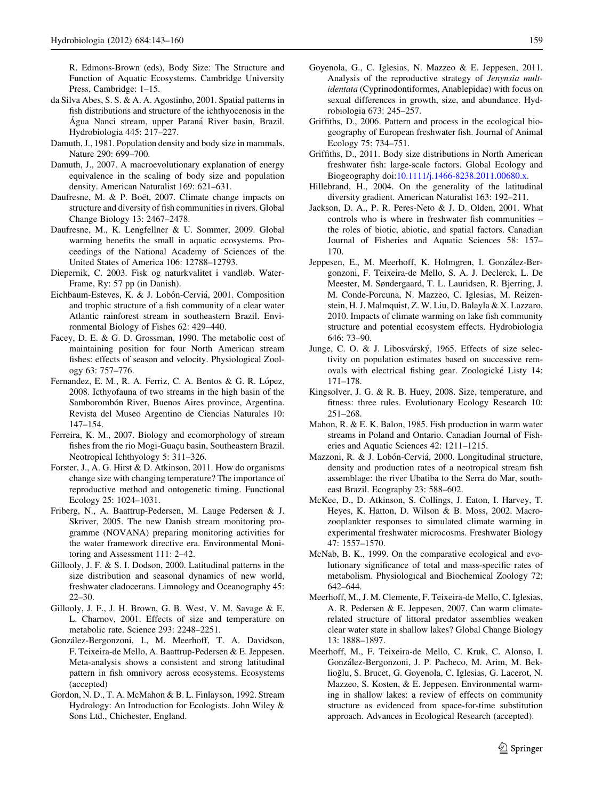<span id="page-16-0"></span>R. Edmons-Brown (eds), Body Size: The Structure and Function of Aquatic Ecosystems. Cambridge University Press, Cambridge: 1–15.

- da Silva Abes, S. S. & A. A. Agostinho, 2001. Spatial patterns in fish distributions and structure of the ichthyocenosis in the Água Nanci stream, upper Paraná River basin, Brazil. Hydrobiologia 445: 217–227.
- Damuth, J., 1981. Population density and body size in mammals. Nature 290: 699–700.
- Damuth, J., 2007. A macroevolutionary explanation of energy equivalence in the scaling of body size and population density. American Naturalist 169: 621–631.
- Daufresne, M. & P. Boët, 2007. Climate change impacts on structure and diversity of fish communities in rivers. Global Change Biology 13: 2467–2478.
- Daufresne, M., K. Lengfellner & U. Sommer, 2009. Global warming benefits the small in aquatic ecosystems. Proceedings of the National Academy of Sciences of the United States of America 106: 12788–12793.
- Diepernik, C. 2003. Fisk og naturkvalitet i vandløb. Water-Frame, Ry: 57 pp (in Danish).
- Eichbaum-Esteves, K. & J. Lobón-Cerviá, 2001. Composition and trophic structure of a fish community of a clear water Atlantic rainforest stream in southeastern Brazil. Environmental Biology of Fishes 62: 429–440.
- Facey, D. E. & G. D. Grossman, 1990. The metabolic cost of maintaining position for four North American stream fishes: effects of season and velocity. Physiological Zoology 63: 757–776.
- Fernandez, E. M., R. A. Ferriz, C. A. Bentos & G. R. López, 2008. Icthyofauna of two streams in the high basin of the Samborombón River, Buenos Aires province, Argentina. Revista del Museo Argentino de Ciencias Naturales 10: 147–154.
- Ferreira, K. M., 2007. Biology and ecomorphology of stream fishes from the rio Mogi-Guaçu basin, Southeastern Brazil. Neotropical Ichthyology 5: 311–326.
- Forster, J., A. G. Hirst & D. Atkinson, 2011. How do organisms change size with changing temperature? The importance of reproductive method and ontogenetic timing. Functional Ecology 25: 1024–1031.
- Friberg, N., A. Baattrup-Pedersen, M. Lauge Pedersen & J. Skriver, 2005. The new Danish stream monitoring programme (NOVANA) preparing monitoring activities for the water framework directive era. Environmental Monitoring and Assessment 111: 2–42.
- Gillooly, J. F. & S. I. Dodson, 2000. Latitudinal patterns in the size distribution and seasonal dynamics of new world, freshwater cladocerans. Limnology and Oceanography 45: 22–30.
- Gillooly, J. F., J. H. Brown, G. B. West, V. M. Savage & E. L. Charnov, 2001. Effects of size and temperature on metabolic rate. Science 293: 2248–2251.
- González-Bergonzoni, I., M. Meerhoff, T. A. Davidson, F. Teixeira-de Mello, A. Baattrup-Pedersen & E. Jeppesen. Meta-analysis shows a consistent and strong latitudinal pattern in fish omnivory across ecosystems. Ecosystems (accepted)
- Gordon, N. D., T. A. McMahon & B. L. Finlayson, 1992. Stream Hydrology: An Introduction for Ecologists. John Wiley & Sons Ltd., Chichester, England.
- Goyenola, G., C. Iglesias, N. Mazzeo & E. Jeppesen, 2011. Analysis of the reproductive strategy of Jenynsia multidentata (Cyprinodontiformes, Anablepidae) with focus on sexual differences in growth, size, and abundance. Hydrobiologia 673: 245–257.
- Griffiths, D., 2006. Pattern and process in the ecological biogeography of European freshwater fish. Journal of Animal Ecology 75: 734–751.
- Griffiths, D., 2011. Body size distributions in North American freshwater fish: large-scale factors. Global Ecology and Biogeography doi:[10.1111/j.1466-8238.2011.00680.x](http://dx.doi.org/10.1111/j.1466-8238.2011.00680.x).
- Hillebrand, H., 2004. On the generality of the latitudinal diversity gradient. American Naturalist 163: 192–211.
- Jackson, D. A., P. R. Peres-Neto & J. D. Olden, 2001. What controls who is where in freshwater fish communities – the roles of biotic, abiotic, and spatial factors. Canadian Journal of Fisheries and Aquatic Sciences 58: 157– 170.
- Jeppesen, E., M. Meerhoff, K. Holmgren, I. González-Bergonzoni, F. Teixeira-de Mello, S. A. J. Declerck, L. De Meester, M. Søndergaard, T. L. Lauridsen, R. Bjerring, J. M. Conde-Porcuna, N. Mazzeo, C. Iglesias, M. Reizenstein, H. J. Malmquist, Z. W. Liu, D. Balayla & X. Lazzaro, 2010. Impacts of climate warming on lake fish community structure and potential ecosystem effects. Hydrobiologia 646: 73–90.
- Junge, C. O. & J. Libosvárský, 1965. Effects of size selectivity on population estimates based on successive removals with electrical fishing gear. Zoologické Listy 14: 171–178.
- Kingsolver, J. G. & R. B. Huey, 2008. Size, temperature, and fitness: three rules. Evolutionary Ecology Research 10: 251–268.
- Mahon, R. & E. K. Balon, 1985. Fish production in warm water streams in Poland and Ontario. Canadian Journal of Fisheries and Aquatic Sciences 42: 1211–1215.
- Mazzoni, R. & J. Lobón-Cerviá, 2000. Longitudinal structure, density and production rates of a neotropical stream fish assemblage: the river Ubatiba to the Serra do Mar, southeast Brazil. Ecography 23: 588–602.
- McKee, D., D. Atkinson, S. Collings, J. Eaton, I. Harvey, T. Heyes, K. Hatton, D. Wilson & B. Moss, 2002. Macrozooplankter responses to simulated climate warming in experimental freshwater microcosms. Freshwater Biology 47: 1557–1570.
- McNab, B. K., 1999. On the comparative ecological and evolutionary significance of total and mass-specific rates of metabolism. Physiological and Biochemical Zoology 72: 642–644.
- Meerhoff, M., J. M. Clemente, F. Teixeira-de Mello, C. Iglesias, A. R. Pedersen & E. Jeppesen, 2007. Can warm climaterelated structure of littoral predator assemblies weaken clear water state in shallow lakes? Global Change Biology 13: 1888–1897.
- Meerhoff, M., F. Teixeira-de Mello, C. Kruk, C. Alonso, I. González-Bergonzoni, J. P. Pacheco, M. Arim, M. Beklioğlu, S. Brucet, G. Goyenola, C. Iglesias, G. Lacerot, N. Mazzeo, S. Kosten, & E. Jeppesen. Environmental warming in shallow lakes: a review of effects on community structure as evidenced from space-for-time substitution approach. Advances in Ecological Research (accepted).